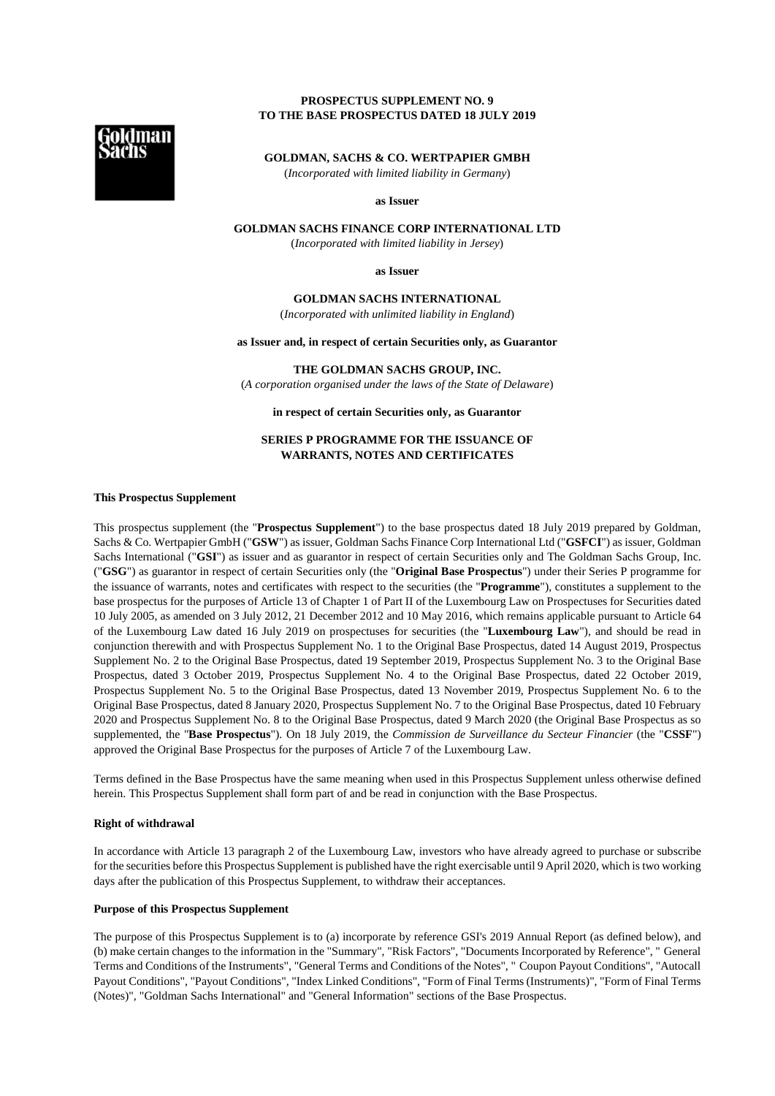# **PROSPECTUS SUPPLEMENT NO. 9 TO THE BASE PROSPECTUS DATED 18 JULY 2019**



**GOLDMAN, SACHS & CO. WERTPAPIER GMBH** 

(*Incorporated with limited liability in Germany*)

**as Issuer** 

# **GOLDMAN SACHS FINANCE CORP INTERNATIONAL LTD**

(*Incorporated with limited liability in Jersey*)

**as Issuer** 

**GOLDMAN SACHS INTERNATIONAL**  (*Incorporated with unlimited liability in England*)

**as Issuer and, in respect of certain Securities only, as Guarantor** 

**THE GOLDMAN SACHS GROUP, INC.**  (*A corporation organised under the laws of the State of Delaware*)

**in respect of certain Securities only, as Guarantor** 

# **SERIES P PROGRAMME FOR THE ISSUANCE OF WARRANTS, NOTES AND CERTIFICATES**

## **This Prospectus Supplement**

This prospectus supplement (the "**Prospectus Supplement**") to the base prospectus dated 18 July 2019 prepared by Goldman, Sachs & Co. Wertpapier GmbH ("**GSW**") as issuer, Goldman Sachs Finance Corp International Ltd ("**GSFCI**") as issuer, Goldman Sachs International ("**GSI**") as issuer and as guarantor in respect of certain Securities only and The Goldman Sachs Group, Inc. ("**GSG**") as guarantor in respect of certain Securities only (the "**Original Base Prospectus**") under their Series P programme for the issuance of warrants, notes and certificates with respect to the securities (the "**Programme**"), constitutes a supplement to the base prospectus for the purposes of Article 13 of Chapter 1 of Part II of the Luxembourg Law on Prospectuses for Securities dated 10 July 2005, as amended on 3 July 2012, 21 December 2012 and 10 May 2016, which remains applicable pursuant to Article 64 of the Luxembourg Law dated 16 July 2019 on prospectuses for securities (the "**Luxembourg Law**"), and should be read in conjunction therewith and with Prospectus Supplement No. 1 to the Original Base Prospectus, dated 14 August 2019, Prospectus Supplement No. 2 to the Original Base Prospectus, dated 19 September 2019, Prospectus Supplement No. 3 to the Original Base Prospectus, dated 3 October 2019, Prospectus Supplement No. 4 to the Original Base Prospectus, dated 22 October 2019, Prospectus Supplement No. 5 to the Original Base Prospectus, dated 13 November 2019, Prospectus Supplement No. 6 to the Original Base Prospectus, dated 8 January 2020, Prospectus Supplement No. 7 to the Original Base Prospectus, dated 10 February 2020 and Prospectus Supplement No. 8 to the Original Base Prospectus, dated 9 March 2020 (the Original Base Prospectus as so supplemented, the "**Base Prospectus**"). On 18 July 2019, the *Commission de Surveillance du Secteur Financier* (the "**CSSF**") approved the Original Base Prospectus for the purposes of Article 7 of the Luxembourg Law.

Terms defined in the Base Prospectus have the same meaning when used in this Prospectus Supplement unless otherwise defined herein. This Prospectus Supplement shall form part of and be read in conjunction with the Base Prospectus.

### **Right of withdrawal**

In accordance with Article 13 paragraph 2 of the Luxembourg Law, investors who have already agreed to purchase or subscribe for the securities before this Prospectus Supplement is published have the right exercisable until 9 April 2020, which is two working days after the publication of this Prospectus Supplement, to withdraw their acceptances.

## **Purpose of this Prospectus Supplement**

The purpose of this Prospectus Supplement is to (a) incorporate by reference GSI's 2019 Annual Report (as defined below), and (b) make certain changes to the information in the "Summary", "Risk Factors", "Documents Incorporated by Reference", " General Terms and Conditions of the Instruments", "General Terms and Conditions of the Notes", " Coupon Payout Conditions", "Autocall Payout Conditions", "Payout Conditions", "Index Linked Conditions", "Form of Final Terms (Instruments)", "Form of Final Terms (Notes)", "Goldman Sachs International" and "General Information" sections of the Base Prospectus.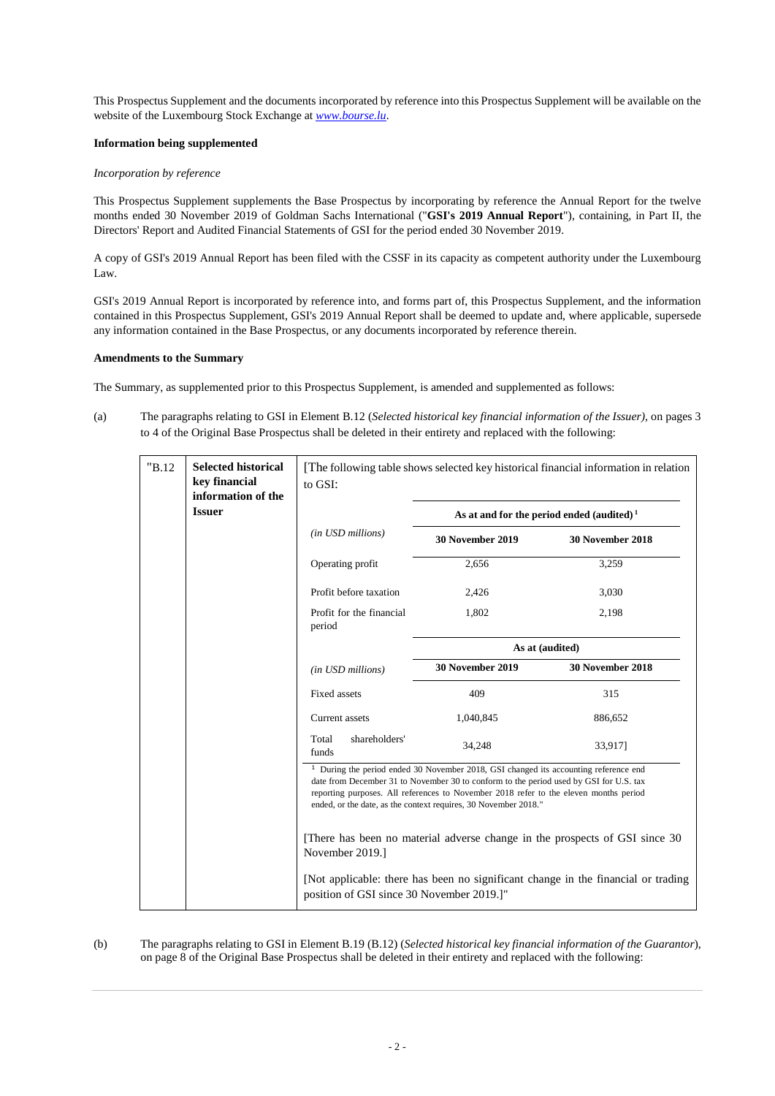This Prospectus Supplement and the documents incorporated by reference into this Prospectus Supplement will be available on the website of the Luxembourg Stock Exchange at *www.bourse.lu*.

## **Information being supplemented**

## *Incorporation by reference*

This Prospectus Supplement supplements the Base Prospectus by incorporating by reference the Annual Report for the twelve months ended 30 November 2019 of Goldman Sachs International ("**GSI's 2019 Annual Report**"), containing, in Part II, the Directors' Report and Audited Financial Statements of GSI for the period ended 30 November 2019.

A copy of GSI's 2019 Annual Report has been filed with the CSSF in its capacity as competent authority under the Luxembourg Law.

GSI's 2019 Annual Report is incorporated by reference into, and forms part of, this Prospectus Supplement, and the information contained in this Prospectus Supplement, GSI's 2019 Annual Report shall be deemed to update and, where applicable, supersede any information contained in the Base Prospectus, or any documents incorporated by reference therein.

# **Amendments to the Summary**

The Summary, as supplemented prior to this Prospectus Supplement, is amended and supplemented as follows:

(a) The paragraphs relating to GSI in Element B.12 (*Selected historical key financial information of the Issuer),* on pages 3 to 4 of the Original Base Prospectus shall be deleted in their entirety and replaced with the following:

| "B.12" | <b>Selected historical</b><br>key financial<br>information of the | The following table shows selected key historical financial information in relation<br>to GSI:                                                                                                                                                                                                                                                                                                                                                          |                                                       |                                                                                   |  |  |
|--------|-------------------------------------------------------------------|---------------------------------------------------------------------------------------------------------------------------------------------------------------------------------------------------------------------------------------------------------------------------------------------------------------------------------------------------------------------------------------------------------------------------------------------------------|-------------------------------------------------------|-----------------------------------------------------------------------------------|--|--|
|        | <b>Issuer</b>                                                     |                                                                                                                                                                                                                                                                                                                                                                                                                                                         | As at and for the period ended (audited) <sup>1</sup> |                                                                                   |  |  |
|        |                                                                   | (in USD millions)                                                                                                                                                                                                                                                                                                                                                                                                                                       | <b>30 November 2019</b>                               | 30 November 2018                                                                  |  |  |
|        |                                                                   | Operating profit                                                                                                                                                                                                                                                                                                                                                                                                                                        | 2,656                                                 | 3,259                                                                             |  |  |
|        |                                                                   | Profit before taxation                                                                                                                                                                                                                                                                                                                                                                                                                                  | 2,426                                                 | 3,030                                                                             |  |  |
|        |                                                                   | Profit for the financial<br>period                                                                                                                                                                                                                                                                                                                                                                                                                      | 1,802                                                 | 2,198                                                                             |  |  |
|        |                                                                   |                                                                                                                                                                                                                                                                                                                                                                                                                                                         |                                                       | As at (audited)                                                                   |  |  |
|        |                                                                   | (in USD millions)                                                                                                                                                                                                                                                                                                                                                                                                                                       | <b>30 November 2019</b>                               | 30 November 2018                                                                  |  |  |
|        |                                                                   | Fixed assets                                                                                                                                                                                                                                                                                                                                                                                                                                            | 409                                                   | 315                                                                               |  |  |
|        |                                                                   | Current assets                                                                                                                                                                                                                                                                                                                                                                                                                                          | 1,040,845                                             | 886,652                                                                           |  |  |
|        |                                                                   | shareholders'<br>Total<br>funds                                                                                                                                                                                                                                                                                                                                                                                                                         | 34,248                                                | 33,9171                                                                           |  |  |
|        |                                                                   | <sup>1</sup> During the period ended 30 November 2018, GSI changed its accounting reference end<br>date from December 31 to November 30 to conform to the period used by GSI for U.S. tax<br>reporting purposes. All references to November 2018 refer to the eleven months period<br>ended, or the date, as the context requires, 30 November 2018."<br>[There has been no material adverse change in the prospects of GSI since 30<br>November 2019.] |                                                       |                                                                                   |  |  |
|        |                                                                   |                                                                                                                                                                                                                                                                                                                                                                                                                                                         |                                                       |                                                                                   |  |  |
|        |                                                                   | position of GSI since 30 November 2019.]"                                                                                                                                                                                                                                                                                                                                                                                                               |                                                       | [Not applicable: there has been no significant change in the financial or trading |  |  |

# (b) The paragraphs relating to GSI in Element B.19 (B.12) (*Selected historical key financial information of the Guarantor*), on page 8 of the Original Base Prospectus shall be deleted in their entirety and replaced with the following: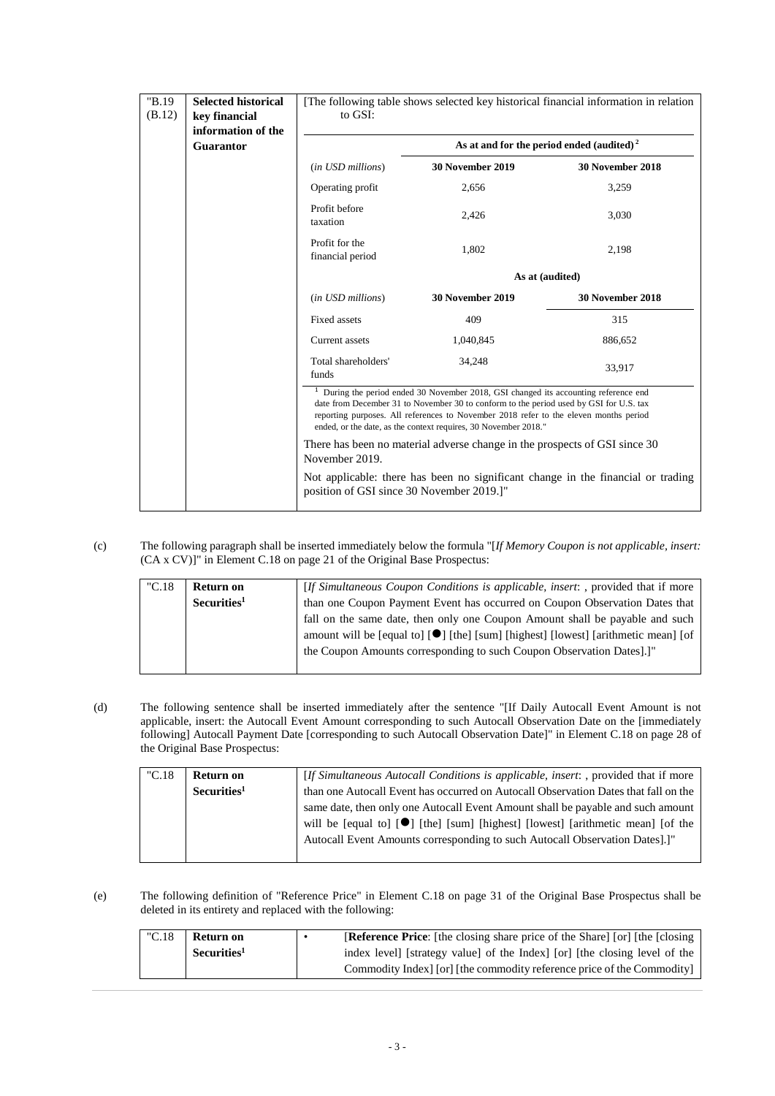| "B.19<br>(B.12) | <b>Selected historical</b><br>key financial<br>information of the | [The following table shows selected key historical financial information in relation<br>to GSI:                                                                                                                                                                                                                                              |                         |                  |  |  |
|-----------------|-------------------------------------------------------------------|----------------------------------------------------------------------------------------------------------------------------------------------------------------------------------------------------------------------------------------------------------------------------------------------------------------------------------------------|-------------------------|------------------|--|--|
|                 | <b>Guarantor</b>                                                  | As at and for the period ended (audited) <sup>2</sup>                                                                                                                                                                                                                                                                                        |                         |                  |  |  |
|                 |                                                                   | (in USD millions)                                                                                                                                                                                                                                                                                                                            | 30 November 2019        | 30 November 2018 |  |  |
|                 |                                                                   | Operating profit                                                                                                                                                                                                                                                                                                                             | 2,656                   | 3,259            |  |  |
|                 |                                                                   | Profit before<br>taxation                                                                                                                                                                                                                                                                                                                    | 2,426                   | 3,030            |  |  |
|                 |                                                                   | Profit for the<br>financial period                                                                                                                                                                                                                                                                                                           | 1,802                   | 2,198            |  |  |
|                 |                                                                   |                                                                                                                                                                                                                                                                                                                                              | As at (audited)         |                  |  |  |
|                 |                                                                   | (in USD millions)                                                                                                                                                                                                                                                                                                                            | <b>30 November 2019</b> | 30 November 2018 |  |  |
|                 |                                                                   | Fixed assets                                                                                                                                                                                                                                                                                                                                 | 409                     | 315              |  |  |
|                 |                                                                   | Current assets                                                                                                                                                                                                                                                                                                                               | 1,040,845               | 886,652          |  |  |
|                 |                                                                   | Total shareholders'<br>funds                                                                                                                                                                                                                                                                                                                 | 34,248                  | 33,917           |  |  |
|                 |                                                                   | $1$ During the period ended 30 November 2018, GSI changed its accounting reference end<br>date from December 31 to November 30 to conform to the period used by GSI for U.S. tax<br>reporting purposes. All references to November 2018 refer to the eleven months period<br>ended, or the date, as the context requires, 30 November 2018." |                         |                  |  |  |
|                 |                                                                   | There has been no material adverse change in the prospects of GSI since 30<br>November 2019.                                                                                                                                                                                                                                                 |                         |                  |  |  |
|                 |                                                                   | Not applicable: there has been no significant change in the financial or trading<br>position of GSI since 30 November 2019.]"                                                                                                                                                                                                                |                         |                  |  |  |

(c) The following paragraph shall be inserted immediately below the formula "[*If Memory Coupon is not applicable, insert:*  (CA x CV)]" in Element C.18 on page 21 of the Original Base Prospectus:

| "C.18" | Return on               | [If Simultaneous Coupon Conditions is applicable, insert: , provided that if more               |
|--------|-------------------------|-------------------------------------------------------------------------------------------------|
|        | Securities <sup>1</sup> | than one Coupon Payment Event has occurred on Coupon Observation Dates that                     |
|        |                         | fall on the same date, then only one Coupon Amount shall be payable and such                    |
|        |                         | amount will be [equal to] [ <sup>●</sup> ] [the] [sum] [highest] [lowest] [arithmetic mean] [of |
|        |                         | the Coupon Amounts corresponding to such Coupon Observation Dates].]"                           |
|        |                         |                                                                                                 |

(d) The following sentence shall be inserted immediately after the sentence "[If Daily Autocall Event Amount is not applicable, insert: the Autocall Event Amount corresponding to such Autocall Observation Date on the [immediately following] Autocall Payment Date [corresponding to such Autocall Observation Date]" in Element C.18 on page 28 of the Original Base Prospectus:

| "C.18" | Return on               | [If Simultaneous Autocall Conditions is applicable, insert: , provided that if more          |
|--------|-------------------------|----------------------------------------------------------------------------------------------|
|        | Securities <sup>1</sup> | than one Autocall Event has occurred on Autocall Observation Dates that fall on the          |
|        |                         | same date, then only one Autocall Event Amount shall be payable and such amount              |
|        |                         | will be [equal to] [ <sup>•</sup> ] [the] [sum] [highest] [lowest] [arithmetic mean] [of the |
|        |                         | Autocall Event Amounts corresponding to such Autocall Observation Dates].]"                  |
|        |                         |                                                                                              |

(e) The following definition of "Reference Price" in Element C.18 on page 31 of the Original Base Prospectus shall be deleted in its entirety and replaced with the following:

| "C.18" | <b>Return on</b>        | <b>[Reference Price:</b> [the closing share price of the Share] [or] [the [closing] |
|--------|-------------------------|-------------------------------------------------------------------------------------|
|        | Securities <sup>1</sup> | index level [strategy value] of the Index [or] [the closing level of the            |
|        |                         | Commodity Index [or] [the commodity reference price of the Commodity]               |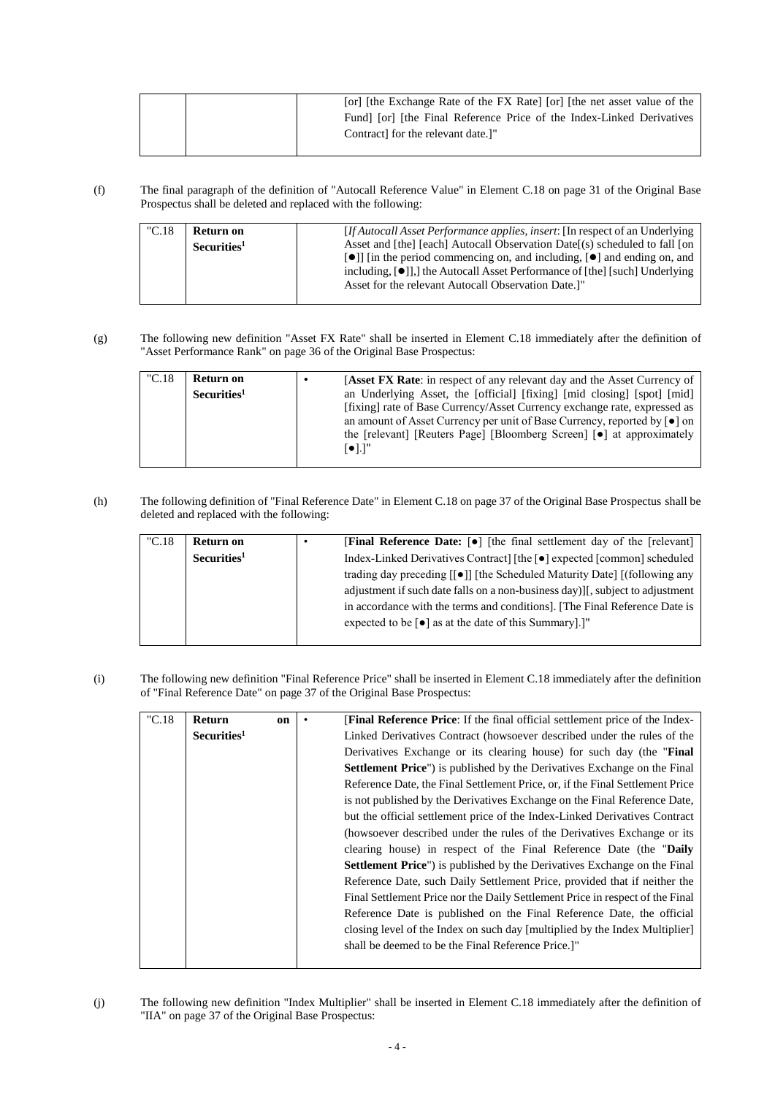|  | [or] [the Exchange Rate of the FX Rate] [or] [the net asset value of the |
|--|--------------------------------------------------------------------------|
|  | Fund [or] [the Final Reference Price of the Index-Linked Derivatives     |
|  | Contract for the relevant date. <sup>1"</sup>                            |
|  |                                                                          |

(f) The final paragraph of the definition of "Autocall Reference Value" in Element C.18 on page 31 of the Original Base Prospectus shall be deleted and replaced with the following:

| "C.18" | Return on<br>Securities <sup>1</sup> | <i>If Autocall Asset Performance applies, insert:</i> [In respect of an Underlying]<br>Asset and [the] [each] Autocall Observation Date[(s) scheduled to fall [on<br>$\lceil \bullet \rceil$ in the period commencing on, and including, $\lceil \bullet \rceil$ and ending on, and<br>including, $[\bullet]$ ], the Autocall Asset Performance of [the] [such] Underlying<br>Asset for the relevant Autocall Observation Date. <sup>1"</sup> |
|--------|--------------------------------------|-----------------------------------------------------------------------------------------------------------------------------------------------------------------------------------------------------------------------------------------------------------------------------------------------------------------------------------------------------------------------------------------------------------------------------------------------|
|        |                                      |                                                                                                                                                                                                                                                                                                                                                                                                                                               |

(g) The following new definition "Asset FX Rate" shall be inserted in Element C.18 immediately after the definition of "Asset Performance Rank" on page 36 of the Original Base Prospectus:

| "C.18" | Return on<br>Securities <sup>1</sup> | <b>Asset FX Rate:</b> in respect of any relevant day and the Asset Currency of<br>an Underlying Asset, the [official] [fixing] [mid closing] [spot] [mid]<br>[fixing] rate of Base Currency/Asset Currency exchange rate, expressed as<br>an amount of Asset Currency per unit of Base Currency, reported by $\lceil \bullet \rceil$ on<br>the [relevant] [Reuters Page] [Bloomberg Screen] [•] at approximately<br>[●].]" |
|--------|--------------------------------------|----------------------------------------------------------------------------------------------------------------------------------------------------------------------------------------------------------------------------------------------------------------------------------------------------------------------------------------------------------------------------------------------------------------------------|
|        |                                      |                                                                                                                                                                                                                                                                                                                                                                                                                            |

(h) The following definition of "Final Reference Date" in Element C.18 on page 37 of the Original Base Prospectus shall be deleted and replaced with the following:

| "C.18 | Return on               | [Final Reference Date: [ $\bullet$ ] [the final settlement day of the [relevant]    |
|-------|-------------------------|-------------------------------------------------------------------------------------|
|       | Securities <sup>1</sup> | Index-Linked Derivatives Contract] [the [ $\bullet$ ] expected [common] scheduled   |
|       |                         | trading day preceding [[ $\bullet$ ]] [the Scheduled Maturity Date] [(following any |
|       |                         | adjustment if such date falls on a non-business day) [, subject to adjustment       |
|       |                         | in accordance with the terms and conditions. [The Final Reference Date is           |
|       |                         | expected to be $\lceil \bullet \rceil$ as at the date of this Summary.              |
|       |                         |                                                                                     |

(i) The following new definition "Final Reference Price" shall be inserted in Element C.18 immediately after the definition of "Final Reference Date" on page 37 of the Original Base Prospectus:

| "C.18" | <b>Return</b>           | on | <b>[Final Reference Price:</b> If the final official settlement price of the Index- |
|--------|-------------------------|----|-------------------------------------------------------------------------------------|
|        | Securities <sup>1</sup> |    | Linked Derivatives Contract (howsoever described under the rules of the             |
|        |                         |    | Derivatives Exchange or its clearing house) for such day (the "Final"               |
|        |                         |    | <b>Settlement Price</b> ") is published by the Derivatives Exchange on the Final    |
|        |                         |    | Reference Date, the Final Settlement Price, or, if the Final Settlement Price       |
|        |                         |    | is not published by the Derivatives Exchange on the Final Reference Date,           |
|        |                         |    | but the official settlement price of the Index-Linked Derivatives Contract          |
|        |                         |    | (howsoever described under the rules of the Derivatives Exchange or its             |
|        |                         |    | clearing house) in respect of the Final Reference Date (the "Daily                  |
|        |                         |    | <b>Settlement Price</b> ") is published by the Derivatives Exchange on the Final    |
|        |                         |    | Reference Date, such Daily Settlement Price, provided that if neither the           |
|        |                         |    | Final Settlement Price nor the Daily Settlement Price in respect of the Final       |
|        |                         |    | Reference Date is published on the Final Reference Date, the official               |
|        |                         |    | closing level of the Index on such day [multiplied by the Index Multiplier]         |
|        |                         |    | shall be deemed to be the Final Reference Price.]"                                  |
|        |                         |    |                                                                                     |

(j) The following new definition "Index Multiplier" shall be inserted in Element C.18 immediately after the definition of "IIA" on page 37 of the Original Base Prospectus: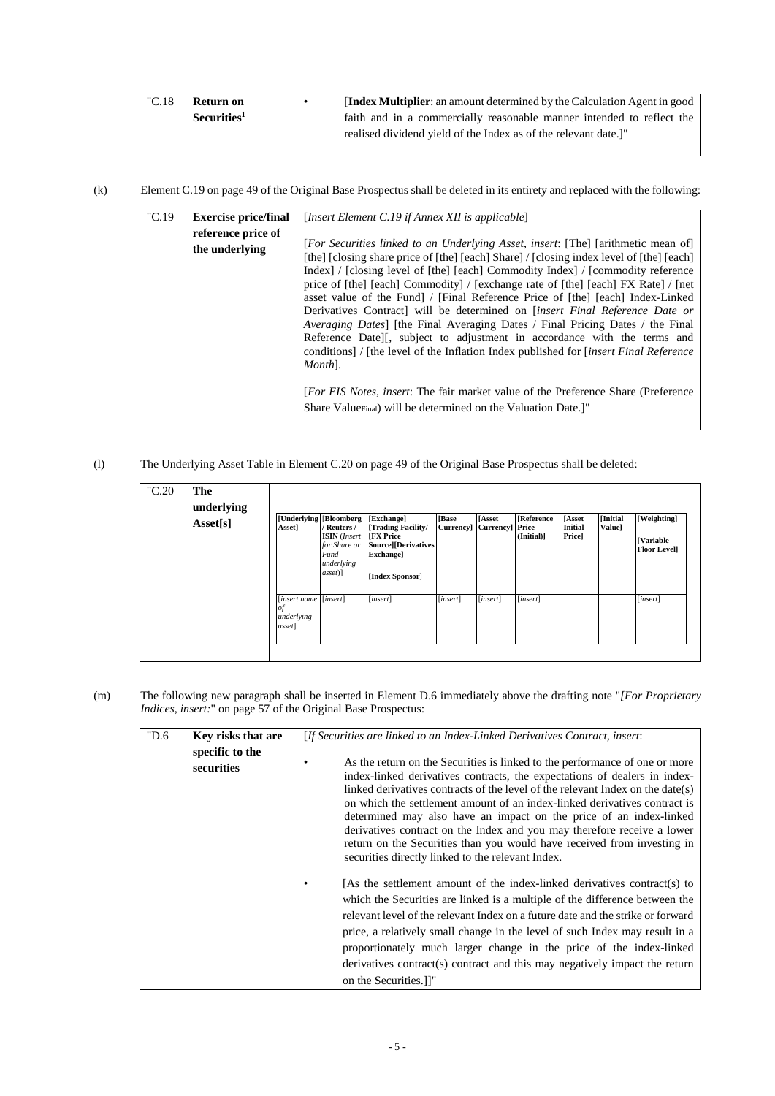| "C.18" | Return on               | <b>Index Multiplier:</b> an amount determined by the Calculation Agent in good |
|--------|-------------------------|--------------------------------------------------------------------------------|
|        | Securities <sup>1</sup> | faith and in a commercially reasonable manner intended to reflect the          |
|        |                         | realised dividend vield of the Index as of the relevant date.]"                |

(k) Element C.19 on page 49 of the Original Base Prospectus shall be deleted in its entirety and replaced with the following:

| °C.19 | <b>Exercise price/final</b> | [Insert Element C.19 if Annex XII is applicable]                                             |
|-------|-----------------------------|----------------------------------------------------------------------------------------------|
|       | reference price of          |                                                                                              |
|       | the underlying              | [For Securities linked to an Underlying Asset, insert: [The] [arithmetic mean of]            |
|       |                             | [the] [closing share price of [the] [each] Share] / [closing index level of [the] [each]     |
|       |                             | Index   / [closing level of [the] [each] Commodity Index   / [commodity reference            |
|       |                             | price of [the] [each] Commodity] / [exchange rate of [the] [each] FX Rate] / [net            |
|       |                             | asset value of the Fund   / [Final Reference Price of [the] [each] Index-Linked              |
|       |                             | Derivatives Contract] will be determined on <i>[insert Final Reference Date or</i>           |
|       |                             | <i>Averaging Dates</i> [the Final Averaging Dates / Final Pricing Dates / the Final          |
|       |                             | Reference Datell, subject to adjustment in accordance with the terms and                     |
|       |                             | conditions] / [the level of the Inflation Index published for <i>[insert Final Reference</i> |
|       |                             | Month <sub>1</sub> .                                                                         |
|       |                             |                                                                                              |
|       |                             | <i>For EIS Notes, insert:</i> The fair market value of the Preference Share (Preference)     |
|       |                             | Share Value <sub>Final</sub> ) will be determined on the Valuation Date.]"                   |
|       |                             |                                                                                              |
|       |                             |                                                                                              |

(l) The Underlying Asset Table in Element C.20 on page 49 of the Original Base Prospectus shall be deleted:

| "C.20 | The<br>underlying<br>Asset[s] | <b>[Underlying</b> ]<br>Asset]                      | [Bloomberg]<br>/ Reuters /<br><b>ISIN</b> (Insert<br>for Share or<br>Fund<br>underlying<br>$\{assert\}$ | [Exchange]<br>[Trading Facility/<br><b>IFX Price</b><br>Source][Derivatives]<br><b>Exchange</b> ]<br>[Index Sponsor] | [Base<br><b>Currency</b> | <b>[Asset</b><br><b>Currency]</b> Price | <b>[Reference</b><br>(Initial)] | <b>[Asset</b><br><b>Initial</b><br><b>Price</b> ] | [Initial<br>Value] | [Weighting]<br><b>[Variable</b><br><b>Floor Level]</b> |
|-------|-------------------------------|-----------------------------------------------------|---------------------------------------------------------------------------------------------------------|----------------------------------------------------------------------------------------------------------------------|--------------------------|-----------------------------------------|---------------------------------|---------------------------------------------------|--------------------|--------------------------------------------------------|
|       |                               | [insert name [insert]<br>of<br>underlying<br>asset] |                                                                                                         | [insert]                                                                                                             | [insert]                 | [insert]                                | [insert]                        |                                                   |                    | [insert]                                               |

(m) The following new paragraph shall be inserted in Element D.6 immediately above the drafting note "*[For Proprietary Indices, insert:*" on page 57 of the Original Base Prospectus:

| "D.6 | Key risks that are<br>specific to the<br>securities | [If Securities are linked to an Index-Linked Derivatives Contract, insert:<br>As the return on the Securities is linked to the performance of one or more<br>index-linked derivatives contracts, the expectations of dealers in index-<br>linked derivatives contracts of the level of the relevant Index on the date(s)<br>on which the settlement amount of an index-linked derivatives contract is<br>determined may also have an impact on the price of an index-linked<br>derivatives contract on the Index and you may therefore receive a lower<br>return on the Securities than you would have received from investing in<br>securities directly linked to the relevant Index. |
|------|-----------------------------------------------------|----------------------------------------------------------------------------------------------------------------------------------------------------------------------------------------------------------------------------------------------------------------------------------------------------------------------------------------------------------------------------------------------------------------------------------------------------------------------------------------------------------------------------------------------------------------------------------------------------------------------------------------------------------------------------------------|
|      |                                                     | [As the settlement amount of the index-linked derivatives contract(s) to<br>which the Securities are linked is a multiple of the difference between the<br>relevant level of the relevant Index on a future date and the strike or forward<br>price, a relatively small change in the level of such Index may result in a<br>proportionately much larger change in the price of the index-linked<br>derivatives contract(s) contract and this may negatively impact the return<br>on the Securities.]]"                                                                                                                                                                                |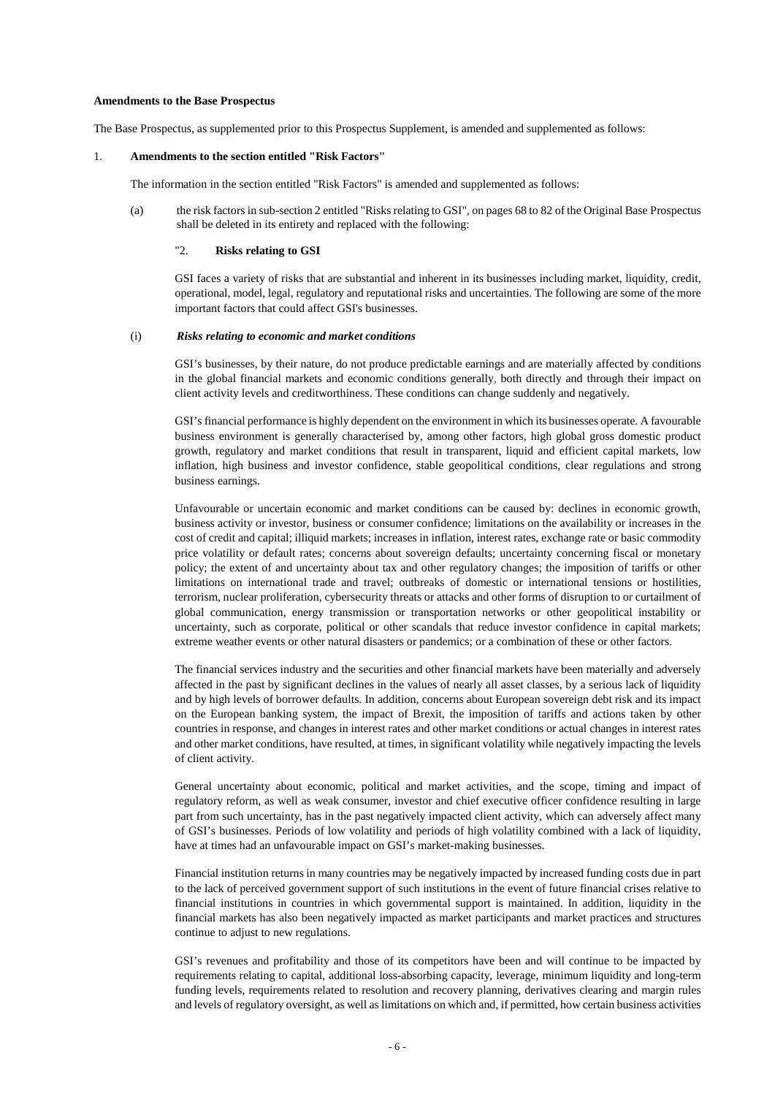#### **Amendments to the Base Prospectus**

The Base Prospectus, as supplemented prior to this Prospectus Supplement, is amended and supplemented as follows:

#### 1. **Amendments to the section entitled "Risk Factors"**

The information in the section entitled "Risk Factors" is amended and supplemented as follows:

(a) the risk factors in sub-section 2 entitled "Risks relating to GSI", on pages 68 to 82 of the Original Base Prospectus shall be deleted in its entirety and replaced with the following:

## "2. **Risks relating to GSI**

GSI faces a variety of risks that are substantial and inherent in its businesses including market, liquidity, credit, operational, model, legal, regulatory and reputational risks and uncertainties. The following are some of the more important factors that could affect GSI's businesses.

## (i) *Risks relating to economic and market conditions*

GSI's businesses, by their nature, do not produce predictable earnings and are materially affected by conditions in the global financial markets and economic conditions generally, both directly and through their impact on client activity levels and creditworthiness. These conditions can change suddenly and negatively.

GSI's financial performance is highly dependent on the environment in which its businesses operate. A favourable business environment is generally characterised by, among other factors, high global gross domestic product growth, regulatory and market conditions that result in transparent, liquid and efficient capital markets, low inflation, high business and investor confidence, stable geopolitical conditions, clear regulations and strong business earnings.

Unfavourable or uncertain economic and market conditions can be caused by: declines in economic growth, business activity or investor, business or consumer confidence; limitations on the availability or increases in the cost of credit and capital; illiquid markets; increases in inflation, interest rates, exchange rate or basic commodity price volatility or default rates; concerns about sovereign defaults; uncertainty concerning fiscal or monetary policy; the extent of and uncertainty about tax and other regulatory changes; the imposition of tariffs or other limitations on international trade and travel; outbreaks of domestic or international tensions or hostilities, terrorism, nuclear proliferation, cybersecurity threats or attacks and other forms of disruption to or curtailment of global communication, energy transmission or transportation networks or other geopolitical instability or uncertainty, such as corporate, political or other scandals that reduce investor confidence in capital markets; extreme weather events or other natural disasters or pandemics; or a combination of these or other factors.

The financial services industry and the securities and other financial markets have been materially and adversely affected in the past by significant declines in the values of nearly all asset classes, by a serious lack of liquidity and by high levels of borrower defaults. In addition, concerns about European sovereign debt risk and its impact on the European banking system, the impact of Brexit, the imposition of tariffs and actions taken by other countries in response, and changes in interest rates and other market conditions or actual changes in interest rates and other market conditions, have resulted, at times, in significant volatility while negatively impacting the levels of client activity.

General uncertainty about economic, political and market activities, and the scope, timing and impact of regulatory reform, as well as weak consumer, investor and chief executive officer confidence resulting in large part from such uncertainty, has in the past negatively impacted client activity, which can adversely affect many of GSI's businesses. Periods of low volatility and periods of high volatility combined with a lack of liquidity, have at times had an unfavourable impact on GSI's market-making businesses.

Financial institution returns in many countries may be negatively impacted by increased funding costs due in part to the lack of perceived government support of such institutions in the event of future financial crises relative to financial institutions in countries in which governmental support is maintained. In addition, liquidity in the financial markets has also been negatively impacted as market participants and market practices and structures continue to adjust to new regulations.

GSI's revenues and profitability and those of its competitors have been and will continue to be impacted by requirements relating to capital, additional loss-absorbing capacity, leverage, minimum liquidity and long-term funding levels, requirements related to resolution and recovery planning, derivatives clearing and margin rules and levels of regulatory oversight, as well as limitations on which and, if permitted, how certain business activities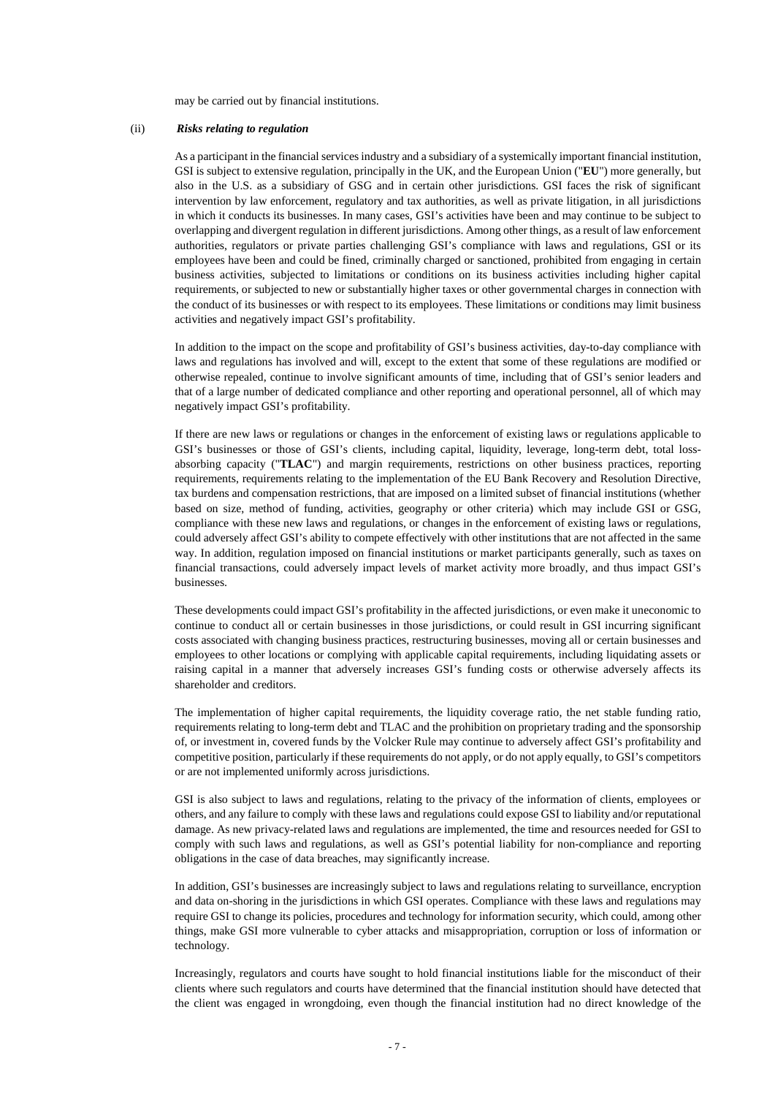may be carried out by financial institutions.

## (ii) *Risks relating to regulation*

As a participant in the financial services industry and a subsidiary of a systemically important financial institution, GSI is subject to extensive regulation, principally in the UK, and the European Union ("**EU**") more generally, but also in the U.S. as a subsidiary of GSG and in certain other jurisdictions. GSI faces the risk of significant intervention by law enforcement, regulatory and tax authorities, as well as private litigation, in all jurisdictions in which it conducts its businesses. In many cases, GSI's activities have been and may continue to be subject to overlapping and divergent regulation in different jurisdictions. Among other things, as a result of law enforcement authorities, regulators or private parties challenging GSI's compliance with laws and regulations, GSI or its employees have been and could be fined, criminally charged or sanctioned, prohibited from engaging in certain business activities, subjected to limitations or conditions on its business activities including higher capital requirements, or subjected to new or substantially higher taxes or other governmental charges in connection with the conduct of its businesses or with respect to its employees. These limitations or conditions may limit business activities and negatively impact GSI's profitability.

In addition to the impact on the scope and profitability of GSI's business activities, day-to-day compliance with laws and regulations has involved and will, except to the extent that some of these regulations are modified or otherwise repealed, continue to involve significant amounts of time, including that of GSI's senior leaders and that of a large number of dedicated compliance and other reporting and operational personnel, all of which may negatively impact GSI's profitability.

If there are new laws or regulations or changes in the enforcement of existing laws or regulations applicable to GSI's businesses or those of GSI's clients, including capital, liquidity, leverage, long-term debt, total lossabsorbing capacity ("**TLAC**") and margin requirements, restrictions on other business practices, reporting requirements, requirements relating to the implementation of the EU Bank Recovery and Resolution Directive, tax burdens and compensation restrictions, that are imposed on a limited subset of financial institutions (whether based on size, method of funding, activities, geography or other criteria) which may include GSI or GSG, compliance with these new laws and regulations, or changes in the enforcement of existing laws or regulations, could adversely affect GSI's ability to compete effectively with other institutions that are not affected in the same way. In addition, regulation imposed on financial institutions or market participants generally, such as taxes on financial transactions, could adversely impact levels of market activity more broadly, and thus impact GSI's businesses.

These developments could impact GSI's profitability in the affected jurisdictions, or even make it uneconomic to continue to conduct all or certain businesses in those jurisdictions, or could result in GSI incurring significant costs associated with changing business practices, restructuring businesses, moving all or certain businesses and employees to other locations or complying with applicable capital requirements, including liquidating assets or raising capital in a manner that adversely increases GSI's funding costs or otherwise adversely affects its shareholder and creditors.

The implementation of higher capital requirements, the liquidity coverage ratio, the net stable funding ratio, requirements relating to long-term debt and TLAC and the prohibition on proprietary trading and the sponsorship of, or investment in, covered funds by the Volcker Rule may continue to adversely affect GSI's profitability and competitive position, particularly if these requirements do not apply, or do not apply equally, to GSI's competitors or are not implemented uniformly across jurisdictions.

GSI is also subject to laws and regulations, relating to the privacy of the information of clients, employees or others, and any failure to comply with these laws and regulations could expose GSI to liability and/or reputational damage. As new privacy-related laws and regulations are implemented, the time and resources needed for GSI to comply with such laws and regulations, as well as GSI's potential liability for non-compliance and reporting obligations in the case of data breaches, may significantly increase.

In addition, GSI's businesses are increasingly subject to laws and regulations relating to surveillance, encryption and data on-shoring in the jurisdictions in which GSI operates. Compliance with these laws and regulations may require GSI to change its policies, procedures and technology for information security, which could, among other things, make GSI more vulnerable to cyber attacks and misappropriation, corruption or loss of information or technology.

Increasingly, regulators and courts have sought to hold financial institutions liable for the misconduct of their clients where such regulators and courts have determined that the financial institution should have detected that the client was engaged in wrongdoing, even though the financial institution had no direct knowledge of the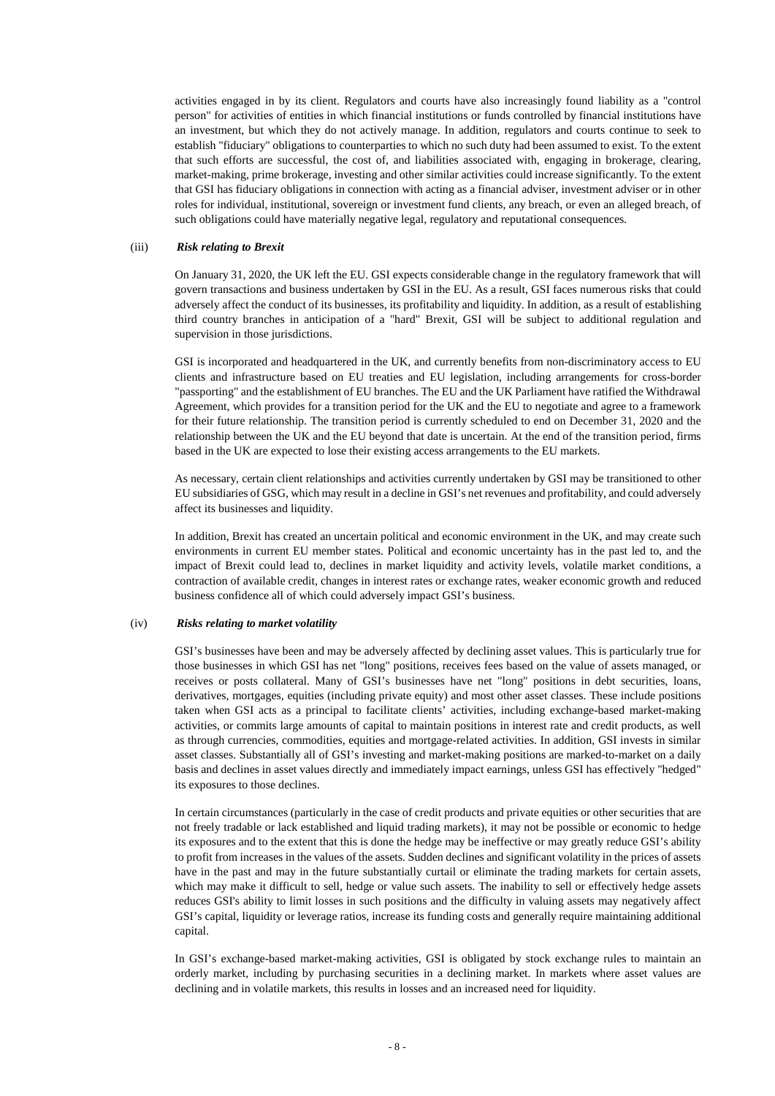activities engaged in by its client. Regulators and courts have also increasingly found liability as a "control person" for activities of entities in which financial institutions or funds controlled by financial institutions have an investment, but which they do not actively manage. In addition, regulators and courts continue to seek to establish "fiduciary" obligations to counterparties to which no such duty had been assumed to exist. To the extent that such efforts are successful, the cost of, and liabilities associated with, engaging in brokerage, clearing, market-making, prime brokerage, investing and other similar activities could increase significantly. To the extent that GSI has fiduciary obligations in connection with acting as a financial adviser, investment adviser or in other roles for individual, institutional, sovereign or investment fund clients, any breach, or even an alleged breach, of such obligations could have materially negative legal, regulatory and reputational consequences.

### (iii) *Risk relating to Brexit*

On January 31, 2020, the UK left the EU. GSI expects considerable change in the regulatory framework that will govern transactions and business undertaken by GSI in the EU. As a result, GSI faces numerous risks that could adversely affect the conduct of its businesses, its profitability and liquidity. In addition, as a result of establishing third country branches in anticipation of a "hard" Brexit, GSI will be subject to additional regulation and supervision in those jurisdictions.

GSI is incorporated and headquartered in the UK, and currently benefits from non-discriminatory access to EU clients and infrastructure based on EU treaties and EU legislation, including arrangements for cross-border "passporting" and the establishment of EU branches. The EU and the UK Parliament have ratified the Withdrawal Agreement, which provides for a transition period for the UK and the EU to negotiate and agree to a framework for their future relationship. The transition period is currently scheduled to end on December 31, 2020 and the relationship between the UK and the EU beyond that date is uncertain. At the end of the transition period, firms based in the UK are expected to lose their existing access arrangements to the EU markets.

As necessary, certain client relationships and activities currently undertaken by GSI may be transitioned to other EU subsidiaries of GSG, which may result in a decline in GSI's net revenues and profitability, and could adversely affect its businesses and liquidity.

In addition, Brexit has created an uncertain political and economic environment in the UK, and may create such environments in current EU member states. Political and economic uncertainty has in the past led to, and the impact of Brexit could lead to, declines in market liquidity and activity levels, volatile market conditions, a contraction of available credit, changes in interest rates or exchange rates, weaker economic growth and reduced business confidence all of which could adversely impact GSI's business.

#### (iv) *Risks relating to market volatility*

GSI's businesses have been and may be adversely affected by declining asset values. This is particularly true for those businesses in which GSI has net "long" positions, receives fees based on the value of assets managed, or receives or posts collateral. Many of GSI's businesses have net "long" positions in debt securities, loans, derivatives, mortgages, equities (including private equity) and most other asset classes. These include positions taken when GSI acts as a principal to facilitate clients' activities, including exchange-based market-making activities, or commits large amounts of capital to maintain positions in interest rate and credit products, as well as through currencies, commodities, equities and mortgage-related activities. In addition, GSI invests in similar asset classes. Substantially all of GSI's investing and market-making positions are marked-to-market on a daily basis and declines in asset values directly and immediately impact earnings, unless GSI has effectively "hedged" its exposures to those declines.

In certain circumstances (particularly in the case of credit products and private equities or other securities that are not freely tradable or lack established and liquid trading markets), it may not be possible or economic to hedge its exposures and to the extent that this is done the hedge may be ineffective or may greatly reduce GSI's ability to profit from increases in the values of the assets. Sudden declines and significant volatility in the prices of assets have in the past and may in the future substantially curtail or eliminate the trading markets for certain assets, which may make it difficult to sell, hedge or value such assets. The inability to sell or effectively hedge assets reduces GSI's ability to limit losses in such positions and the difficulty in valuing assets may negatively affect GSI's capital, liquidity or leverage ratios, increase its funding costs and generally require maintaining additional capital.

In GSI's exchange-based market-making activities, GSI is obligated by stock exchange rules to maintain an orderly market, including by purchasing securities in a declining market. In markets where asset values are declining and in volatile markets, this results in losses and an increased need for liquidity.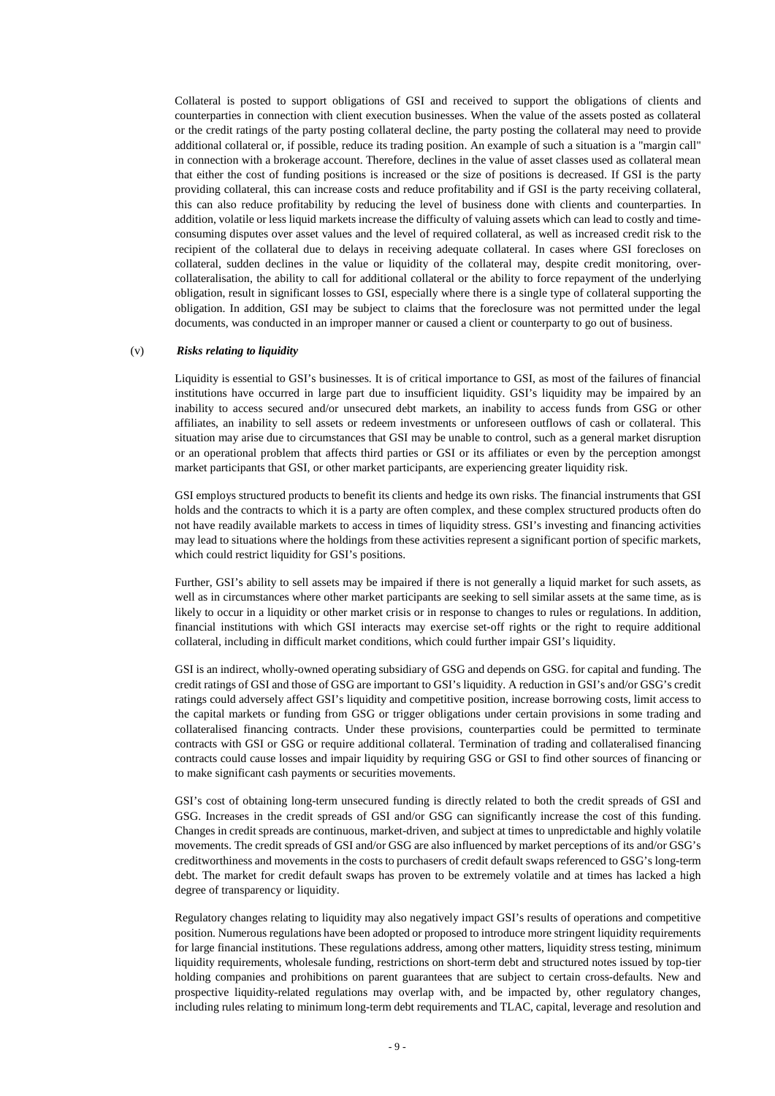Collateral is posted to support obligations of GSI and received to support the obligations of clients and counterparties in connection with client execution businesses. When the value of the assets posted as collateral or the credit ratings of the party posting collateral decline, the party posting the collateral may need to provide additional collateral or, if possible, reduce its trading position. An example of such a situation is a "margin call" in connection with a brokerage account. Therefore, declines in the value of asset classes used as collateral mean that either the cost of funding positions is increased or the size of positions is decreased. If GSI is the party providing collateral, this can increase costs and reduce profitability and if GSI is the party receiving collateral, this can also reduce profitability by reducing the level of business done with clients and counterparties. In addition, volatile or less liquid markets increase the difficulty of valuing assets which can lead to costly and timeconsuming disputes over asset values and the level of required collateral, as well as increased credit risk to the recipient of the collateral due to delays in receiving adequate collateral. In cases where GSI forecloses on collateral, sudden declines in the value or liquidity of the collateral may, despite credit monitoring, overcollateralisation, the ability to call for additional collateral or the ability to force repayment of the underlying obligation, result in significant losses to GSI, especially where there is a single type of collateral supporting the obligation. In addition, GSI may be subject to claims that the foreclosure was not permitted under the legal documents, was conducted in an improper manner or caused a client or counterparty to go out of business.

## (v) *Risks relating to liquidity*

Liquidity is essential to GSI's businesses. It is of critical importance to GSI, as most of the failures of financial institutions have occurred in large part due to insufficient liquidity. GSI's liquidity may be impaired by an inability to access secured and/or unsecured debt markets, an inability to access funds from GSG or other affiliates, an inability to sell assets or redeem investments or unforeseen outflows of cash or collateral. This situation may arise due to circumstances that GSI may be unable to control, such as a general market disruption or an operational problem that affects third parties or GSI or its affiliates or even by the perception amongst market participants that GSI, or other market participants, are experiencing greater liquidity risk.

GSI employs structured products to benefit its clients and hedge its own risks. The financial instruments that GSI holds and the contracts to which it is a party are often complex, and these complex structured products often do not have readily available markets to access in times of liquidity stress. GSI's investing and financing activities may lead to situations where the holdings from these activities represent a significant portion of specific markets, which could restrict liquidity for GSI's positions.

Further, GSI's ability to sell assets may be impaired if there is not generally a liquid market for such assets, as well as in circumstances where other market participants are seeking to sell similar assets at the same time, as is likely to occur in a liquidity or other market crisis or in response to changes to rules or regulations. In addition, financial institutions with which GSI interacts may exercise set-off rights or the right to require additional collateral, including in difficult market conditions, which could further impair GSI's liquidity.

GSI is an indirect, wholly-owned operating subsidiary of GSG and depends on GSG. for capital and funding. The credit ratings of GSI and those of GSG are important to GSI's liquidity. A reduction in GSI's and/or GSG's credit ratings could adversely affect GSI's liquidity and competitive position, increase borrowing costs, limit access to the capital markets or funding from GSG or trigger obligations under certain provisions in some trading and collateralised financing contracts. Under these provisions, counterparties could be permitted to terminate contracts with GSI or GSG or require additional collateral. Termination of trading and collateralised financing contracts could cause losses and impair liquidity by requiring GSG or GSI to find other sources of financing or to make significant cash payments or securities movements.

GSI's cost of obtaining long-term unsecured funding is directly related to both the credit spreads of GSI and GSG. Increases in the credit spreads of GSI and/or GSG can significantly increase the cost of this funding. Changes in credit spreads are continuous, market-driven, and subject at times to unpredictable and highly volatile movements. The credit spreads of GSI and/or GSG are also influenced by market perceptions of its and/or GSG's creditworthiness and movements in the costs to purchasers of credit default swaps referenced to GSG's long-term debt. The market for credit default swaps has proven to be extremely volatile and at times has lacked a high degree of transparency or liquidity.

Regulatory changes relating to liquidity may also negatively impact GSI's results of operations and competitive position. Numerous regulations have been adopted or proposed to introduce more stringent liquidity requirements for large financial institutions. These regulations address, among other matters, liquidity stress testing, minimum liquidity requirements, wholesale funding, restrictions on short-term debt and structured notes issued by top-tier holding companies and prohibitions on parent guarantees that are subject to certain cross-defaults. New and prospective liquidity-related regulations may overlap with, and be impacted by, other regulatory changes, including rules relating to minimum long-term debt requirements and TLAC, capital, leverage and resolution and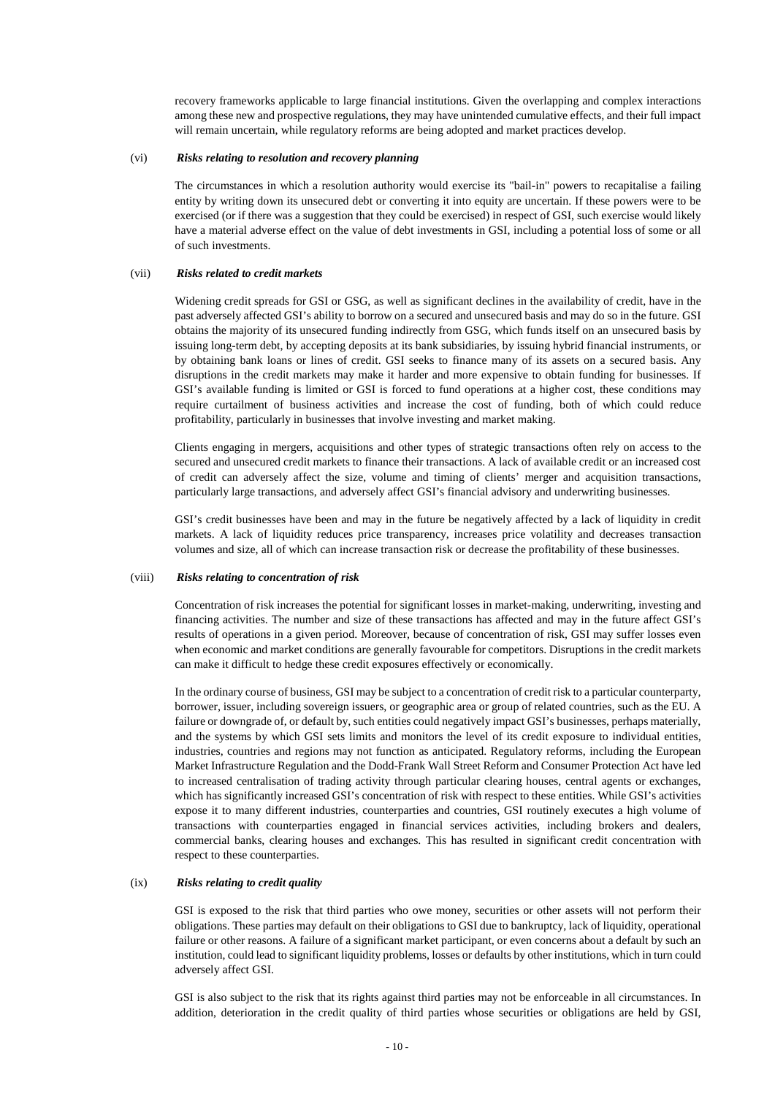recovery frameworks applicable to large financial institutions. Given the overlapping and complex interactions among these new and prospective regulations, they may have unintended cumulative effects, and their full impact will remain uncertain, while regulatory reforms are being adopted and market practices develop.

## (vi) *Risks relating to resolution and recovery planning*

The circumstances in which a resolution authority would exercise its "bail-in" powers to recapitalise a failing entity by writing down its unsecured debt or converting it into equity are uncertain. If these powers were to be exercised (or if there was a suggestion that they could be exercised) in respect of GSI, such exercise would likely have a material adverse effect on the value of debt investments in GSI, including a potential loss of some or all of such investments.

#### (vii) *Risks related to credit markets*

Widening credit spreads for GSI or GSG, as well as significant declines in the availability of credit, have in the past adversely affected GSI's ability to borrow on a secured and unsecured basis and may do so in the future. GSI obtains the majority of its unsecured funding indirectly from GSG, which funds itself on an unsecured basis by issuing long-term debt, by accepting deposits at its bank subsidiaries, by issuing hybrid financial instruments, or by obtaining bank loans or lines of credit. GSI seeks to finance many of its assets on a secured basis. Any disruptions in the credit markets may make it harder and more expensive to obtain funding for businesses. If GSI's available funding is limited or GSI is forced to fund operations at a higher cost, these conditions may require curtailment of business activities and increase the cost of funding, both of which could reduce profitability, particularly in businesses that involve investing and market making.

Clients engaging in mergers, acquisitions and other types of strategic transactions often rely on access to the secured and unsecured credit markets to finance their transactions. A lack of available credit or an increased cost of credit can adversely affect the size, volume and timing of clients' merger and acquisition transactions, particularly large transactions, and adversely affect GSI's financial advisory and underwriting businesses.

GSI's credit businesses have been and may in the future be negatively affected by a lack of liquidity in credit markets. A lack of liquidity reduces price transparency, increases price volatility and decreases transaction volumes and size, all of which can increase transaction risk or decrease the profitability of these businesses.

## (viii) *Risks relating to concentration of risk*

Concentration of risk increases the potential for significant losses in market-making, underwriting, investing and financing activities. The number and size of these transactions has affected and may in the future affect GSI's results of operations in a given period. Moreover, because of concentration of risk, GSI may suffer losses even when economic and market conditions are generally favourable for competitors. Disruptions in the credit markets can make it difficult to hedge these credit exposures effectively or economically.

In the ordinary course of business, GSI may be subject to a concentration of credit risk to a particular counterparty, borrower, issuer, including sovereign issuers, or geographic area or group of related countries, such as the EU. A failure or downgrade of, or default by, such entities could negatively impact GSI's businesses, perhaps materially, and the systems by which GSI sets limits and monitors the level of its credit exposure to individual entities, industries, countries and regions may not function as anticipated. Regulatory reforms, including the European Market Infrastructure Regulation and the Dodd-Frank Wall Street Reform and Consumer Protection Act have led to increased centralisation of trading activity through particular clearing houses, central agents or exchanges, which has significantly increased GSI's concentration of risk with respect to these entities. While GSI's activities expose it to many different industries, counterparties and countries, GSI routinely executes a high volume of transactions with counterparties engaged in financial services activities, including brokers and dealers, commercial banks, clearing houses and exchanges. This has resulted in significant credit concentration with respect to these counterparties.

### (ix) *Risks relating to credit quality*

GSI is exposed to the risk that third parties who owe money, securities or other assets will not perform their obligations. These parties may default on their obligations to GSI due to bankruptcy, lack of liquidity, operational failure or other reasons. A failure of a significant market participant, or even concerns about a default by such an institution, could lead to significant liquidity problems, losses or defaults by other institutions, which in turn could adversely affect GSI.

GSI is also subject to the risk that its rights against third parties may not be enforceable in all circumstances. In addition, deterioration in the credit quality of third parties whose securities or obligations are held by GSI,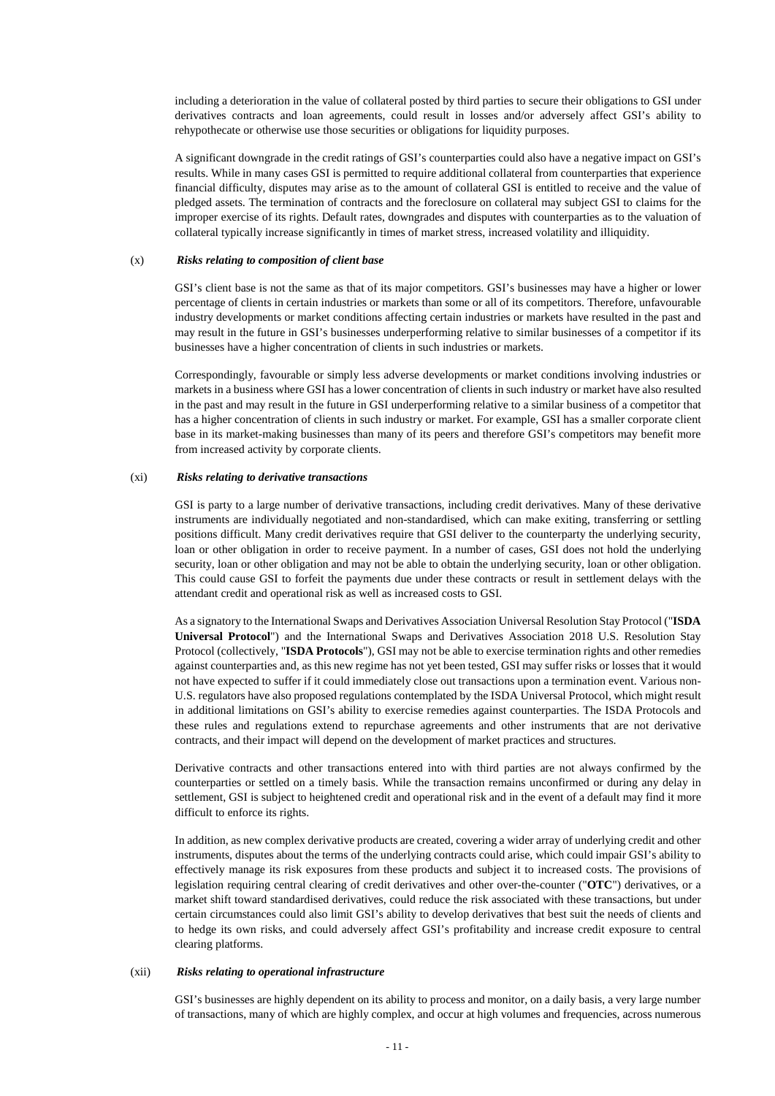including a deterioration in the value of collateral posted by third parties to secure their obligations to GSI under derivatives contracts and loan agreements, could result in losses and/or adversely affect GSI's ability to rehypothecate or otherwise use those securities or obligations for liquidity purposes.

A significant downgrade in the credit ratings of GSI's counterparties could also have a negative impact on GSI's results. While in many cases GSI is permitted to require additional collateral from counterparties that experience financial difficulty, disputes may arise as to the amount of collateral GSI is entitled to receive and the value of pledged assets. The termination of contracts and the foreclosure on collateral may subject GSI to claims for the improper exercise of its rights. Default rates, downgrades and disputes with counterparties as to the valuation of collateral typically increase significantly in times of market stress, increased volatility and illiquidity.

### (x) *Risks relating to composition of client base*

GSI's client base is not the same as that of its major competitors. GSI's businesses may have a higher or lower percentage of clients in certain industries or markets than some or all of its competitors. Therefore, unfavourable industry developments or market conditions affecting certain industries or markets have resulted in the past and may result in the future in GSI's businesses underperforming relative to similar businesses of a competitor if its businesses have a higher concentration of clients in such industries or markets.

Correspondingly, favourable or simply less adverse developments or market conditions involving industries or markets in a business where GSI has a lower concentration of clients in such industry or market have also resulted in the past and may result in the future in GSI underperforming relative to a similar business of a competitor that has a higher concentration of clients in such industry or market. For example, GSI has a smaller corporate client base in its market-making businesses than many of its peers and therefore GSI's competitors may benefit more from increased activity by corporate clients.

#### (xi) *Risks relating to derivative transactions*

GSI is party to a large number of derivative transactions, including credit derivatives. Many of these derivative instruments are individually negotiated and non-standardised, which can make exiting, transferring or settling positions difficult. Many credit derivatives require that GSI deliver to the counterparty the underlying security, loan or other obligation in order to receive payment. In a number of cases, GSI does not hold the underlying security, loan or other obligation and may not be able to obtain the underlying security, loan or other obligation. This could cause GSI to forfeit the payments due under these contracts or result in settlement delays with the attendant credit and operational risk as well as increased costs to GSI.

As a signatory to the International Swaps and Derivatives Association Universal Resolution Stay Protocol ("**ISDA Universal Protocol**") and the International Swaps and Derivatives Association 2018 U.S. Resolution Stay Protocol (collectively, "**ISDA Protocols**"), GSI may not be able to exercise termination rights and other remedies against counterparties and, as this new regime has not yet been tested, GSI may suffer risks or losses that it would not have expected to suffer if it could immediately close out transactions upon a termination event. Various non-U.S. regulators have also proposed regulations contemplated by the ISDA Universal Protocol, which might result in additional limitations on GSI's ability to exercise remedies against counterparties. The ISDA Protocols and these rules and regulations extend to repurchase agreements and other instruments that are not derivative contracts, and their impact will depend on the development of market practices and structures.

Derivative contracts and other transactions entered into with third parties are not always confirmed by the counterparties or settled on a timely basis. While the transaction remains unconfirmed or during any delay in settlement, GSI is subject to heightened credit and operational risk and in the event of a default may find it more difficult to enforce its rights.

In addition, as new complex derivative products are created, covering a wider array of underlying credit and other instruments, disputes about the terms of the underlying contracts could arise, which could impair GSI's ability to effectively manage its risk exposures from these products and subject it to increased costs. The provisions of legislation requiring central clearing of credit derivatives and other over-the-counter ("**OTC**") derivatives, or a market shift toward standardised derivatives, could reduce the risk associated with these transactions, but under certain circumstances could also limit GSI's ability to develop derivatives that best suit the needs of clients and to hedge its own risks, and could adversely affect GSI's profitability and increase credit exposure to central clearing platforms.

#### (xii) *Risks relating to operational infrastructure*

GSI's businesses are highly dependent on its ability to process and monitor, on a daily basis, a very large number of transactions, many of which are highly complex, and occur at high volumes and frequencies, across numerous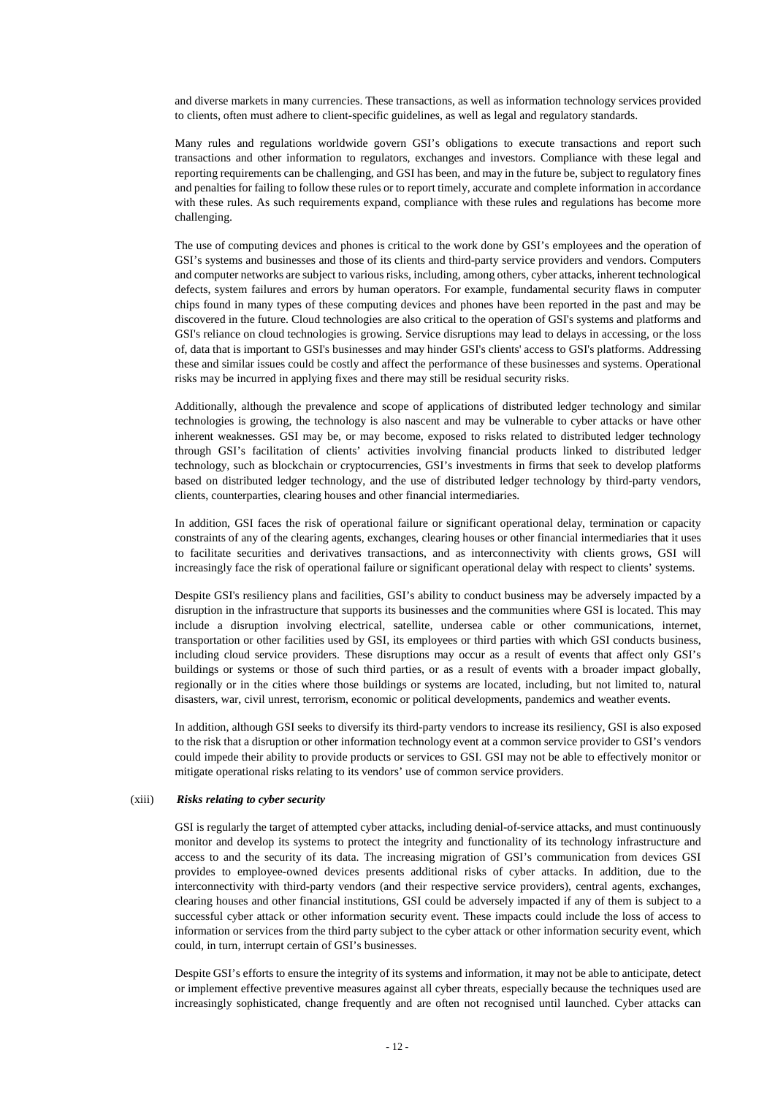and diverse markets in many currencies. These transactions, as well as information technology services provided to clients, often must adhere to client-specific guidelines, as well as legal and regulatory standards.

Many rules and regulations worldwide govern GSI's obligations to execute transactions and report such transactions and other information to regulators, exchanges and investors. Compliance with these legal and reporting requirements can be challenging, and GSI has been, and may in the future be, subject to regulatory fines and penalties for failing to follow these rules or to report timely, accurate and complete information in accordance with these rules. As such requirements expand, compliance with these rules and regulations has become more challenging.

The use of computing devices and phones is critical to the work done by GSI's employees and the operation of GSI's systems and businesses and those of its clients and third-party service providers and vendors. Computers and computer networks are subject to various risks, including, among others, cyber attacks, inherent technological defects, system failures and errors by human operators. For example, fundamental security flaws in computer chips found in many types of these computing devices and phones have been reported in the past and may be discovered in the future. Cloud technologies are also critical to the operation of GSI's systems and platforms and GSI's reliance on cloud technologies is growing. Service disruptions may lead to delays in accessing, or the loss of, data that is important to GSI's businesses and may hinder GSI's clients' access to GSI's platforms. Addressing these and similar issues could be costly and affect the performance of these businesses and systems. Operational risks may be incurred in applying fixes and there may still be residual security risks.

Additionally, although the prevalence and scope of applications of distributed ledger technology and similar technologies is growing, the technology is also nascent and may be vulnerable to cyber attacks or have other inherent weaknesses. GSI may be, or may become, exposed to risks related to distributed ledger technology through GSI's facilitation of clients' activities involving financial products linked to distributed ledger technology, such as blockchain or cryptocurrencies, GSI's investments in firms that seek to develop platforms based on distributed ledger technology, and the use of distributed ledger technology by third-party vendors, clients, counterparties, clearing houses and other financial intermediaries.

In addition, GSI faces the risk of operational failure or significant operational delay, termination or capacity constraints of any of the clearing agents, exchanges, clearing houses or other financial intermediaries that it uses to facilitate securities and derivatives transactions, and as interconnectivity with clients grows, GSI will increasingly face the risk of operational failure or significant operational delay with respect to clients' systems.

Despite GSI's resiliency plans and facilities, GSI's ability to conduct business may be adversely impacted by a disruption in the infrastructure that supports its businesses and the communities where GSI is located. This may include a disruption involving electrical, satellite, undersea cable or other communications, internet, transportation or other facilities used by GSI, its employees or third parties with which GSI conducts business, including cloud service providers. These disruptions may occur as a result of events that affect only GSI's buildings or systems or those of such third parties, or as a result of events with a broader impact globally, regionally or in the cities where those buildings or systems are located, including, but not limited to, natural disasters, war, civil unrest, terrorism, economic or political developments, pandemics and weather events.

In addition, although GSI seeks to diversify its third-party vendors to increase its resiliency, GSI is also exposed to the risk that a disruption or other information technology event at a common service provider to GSI's vendors could impede their ability to provide products or services to GSI. GSI may not be able to effectively monitor or mitigate operational risks relating to its vendors' use of common service providers.

#### (xiii) *Risks relating to cyber security*

GSI is regularly the target of attempted cyber attacks, including denial-of-service attacks, and must continuously monitor and develop its systems to protect the integrity and functionality of its technology infrastructure and access to and the security of its data. The increasing migration of GSI's communication from devices GSI provides to employee-owned devices presents additional risks of cyber attacks. In addition, due to the interconnectivity with third-party vendors (and their respective service providers), central agents, exchanges, clearing houses and other financial institutions, GSI could be adversely impacted if any of them is subject to a successful cyber attack or other information security event. These impacts could include the loss of access to information or services from the third party subject to the cyber attack or other information security event, which could, in turn, interrupt certain of GSI's businesses.

Despite GSI's efforts to ensure the integrity of its systems and information, it may not be able to anticipate, detect or implement effective preventive measures against all cyber threats, especially because the techniques used are increasingly sophisticated, change frequently and are often not recognised until launched. Cyber attacks can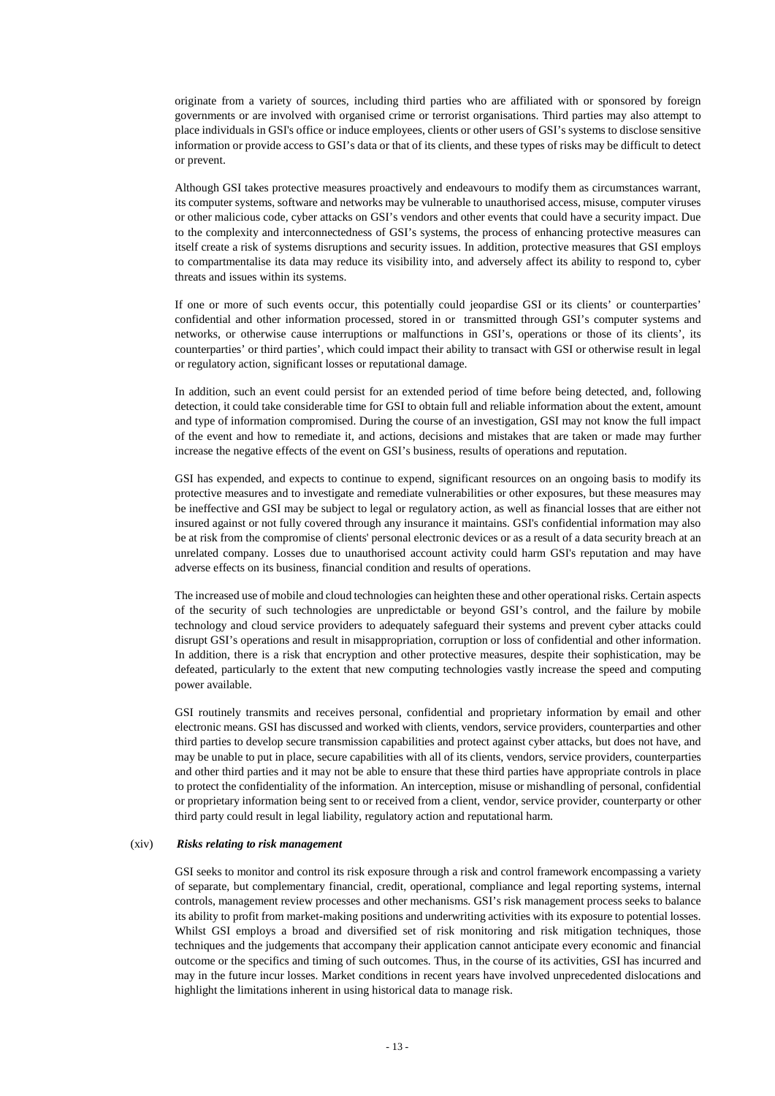originate from a variety of sources, including third parties who are affiliated with or sponsored by foreign governments or are involved with organised crime or terrorist organisations. Third parties may also attempt to place individuals in GSI's office or induce employees, clients or other users of GSI's systems to disclose sensitive information or provide access to GSI's data or that of its clients, and these types of risks may be difficult to detect or prevent.

Although GSI takes protective measures proactively and endeavours to modify them as circumstances warrant, its computer systems, software and networks may be vulnerable to unauthorised access, misuse, computer viruses or other malicious code, cyber attacks on GSI's vendors and other events that could have a security impact. Due to the complexity and interconnectedness of GSI's systems, the process of enhancing protective measures can itself create a risk of systems disruptions and security issues. In addition, protective measures that GSI employs to compartmentalise its data may reduce its visibility into, and adversely affect its ability to respond to, cyber threats and issues within its systems.

If one or more of such events occur, this potentially could jeopardise GSI or its clients' or counterparties' confidential and other information processed, stored in or transmitted through GSI's computer systems and networks, or otherwise cause interruptions or malfunctions in GSI's, operations or those of its clients', its counterparties' or third parties', which could impact their ability to transact with GSI or otherwise result in legal or regulatory action, significant losses or reputational damage.

In addition, such an event could persist for an extended period of time before being detected, and, following detection, it could take considerable time for GSI to obtain full and reliable information about the extent, amount and type of information compromised. During the course of an investigation, GSI may not know the full impact of the event and how to remediate it, and actions, decisions and mistakes that are taken or made may further increase the negative effects of the event on GSI's business, results of operations and reputation.

GSI has expended, and expects to continue to expend, significant resources on an ongoing basis to modify its protective measures and to investigate and remediate vulnerabilities or other exposures, but these measures may be ineffective and GSI may be subject to legal or regulatory action, as well as financial losses that are either not insured against or not fully covered through any insurance it maintains. GSI's confidential information may also be at risk from the compromise of clients' personal electronic devices or as a result of a data security breach at an unrelated company. Losses due to unauthorised account activity could harm GSI's reputation and may have adverse effects on its business, financial condition and results of operations.

The increased use of mobile and cloud technologies can heighten these and other operational risks. Certain aspects of the security of such technologies are unpredictable or beyond GSI's control, and the failure by mobile technology and cloud service providers to adequately safeguard their systems and prevent cyber attacks could disrupt GSI's operations and result in misappropriation, corruption or loss of confidential and other information. In addition, there is a risk that encryption and other protective measures, despite their sophistication, may be defeated, particularly to the extent that new computing technologies vastly increase the speed and computing power available.

GSI routinely transmits and receives personal, confidential and proprietary information by email and other electronic means. GSI has discussed and worked with clients, vendors, service providers, counterparties and other third parties to develop secure transmission capabilities and protect against cyber attacks, but does not have, and may be unable to put in place, secure capabilities with all of its clients, vendors, service providers, counterparties and other third parties and it may not be able to ensure that these third parties have appropriate controls in place to protect the confidentiality of the information. An interception, misuse or mishandling of personal, confidential or proprietary information being sent to or received from a client, vendor, service provider, counterparty or other third party could result in legal liability, regulatory action and reputational harm.

#### (xiv) *Risks relating to risk management*

GSI seeks to monitor and control its risk exposure through a risk and control framework encompassing a variety of separate, but complementary financial, credit, operational, compliance and legal reporting systems, internal controls, management review processes and other mechanisms. GSI's risk management process seeks to balance its ability to profit from market-making positions and underwriting activities with its exposure to potential losses. Whilst GSI employs a broad and diversified set of risk monitoring and risk mitigation techniques, those techniques and the judgements that accompany their application cannot anticipate every economic and financial outcome or the specifics and timing of such outcomes. Thus, in the course of its activities, GSI has incurred and may in the future incur losses. Market conditions in recent years have involved unprecedented dislocations and highlight the limitations inherent in using historical data to manage risk.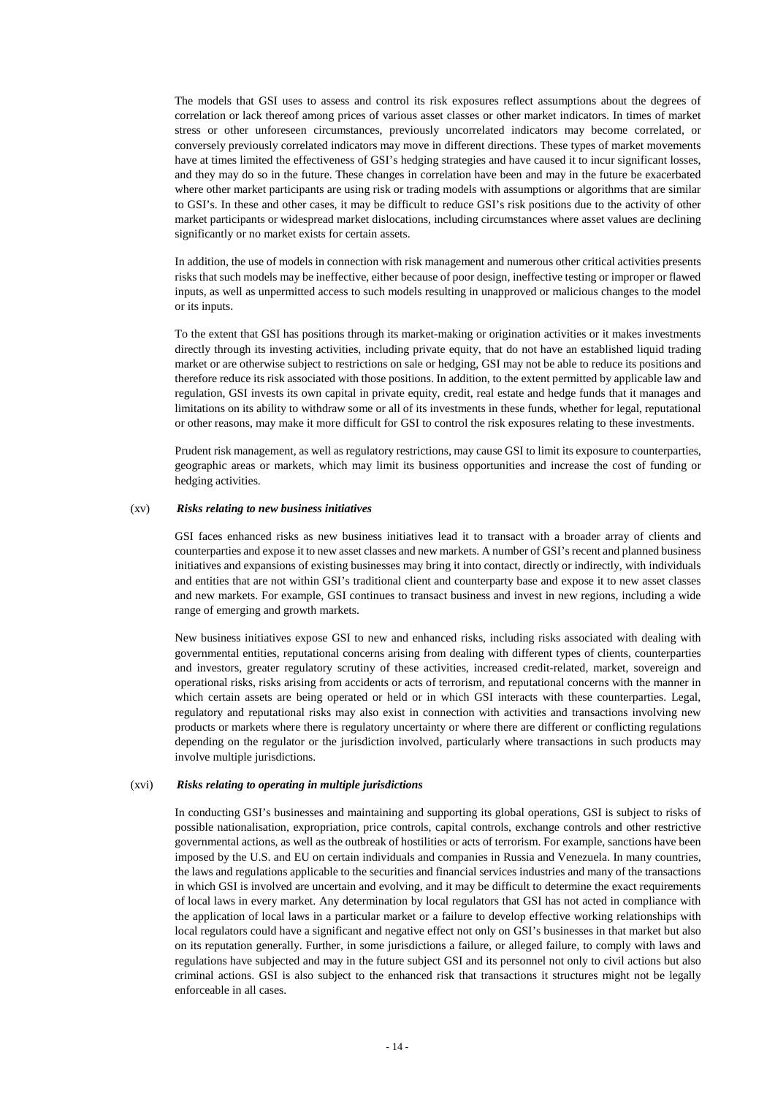The models that GSI uses to assess and control its risk exposures reflect assumptions about the degrees of correlation or lack thereof among prices of various asset classes or other market indicators. In times of market stress or other unforeseen circumstances, previously uncorrelated indicators may become correlated, or conversely previously correlated indicators may move in different directions. These types of market movements have at times limited the effectiveness of GSI's hedging strategies and have caused it to incur significant losses, and they may do so in the future. These changes in correlation have been and may in the future be exacerbated where other market participants are using risk or trading models with assumptions or algorithms that are similar to GSI's. In these and other cases, it may be difficult to reduce GSI's risk positions due to the activity of other market participants or widespread market dislocations, including circumstances where asset values are declining significantly or no market exists for certain assets.

In addition, the use of models in connection with risk management and numerous other critical activities presents risks that such models may be ineffective, either because of poor design, ineffective testing or improper or flawed inputs, as well as unpermitted access to such models resulting in unapproved or malicious changes to the model or its inputs.

To the extent that GSI has positions through its market-making or origination activities or it makes investments directly through its investing activities, including private equity, that do not have an established liquid trading market or are otherwise subject to restrictions on sale or hedging, GSI may not be able to reduce its positions and therefore reduce its risk associated with those positions. In addition, to the extent permitted by applicable law and regulation, GSI invests its own capital in private equity, credit, real estate and hedge funds that it manages and limitations on its ability to withdraw some or all of its investments in these funds, whether for legal, reputational or other reasons, may make it more difficult for GSI to control the risk exposures relating to these investments.

Prudent risk management, as well as regulatory restrictions, may cause GSI to limit its exposure to counterparties, geographic areas or markets, which may limit its business opportunities and increase the cost of funding or hedging activities.

### (xv) *Risks relating to new business initiatives*

GSI faces enhanced risks as new business initiatives lead it to transact with a broader array of clients and counterparties and expose it to new asset classes and new markets. A number of GSI's recent and planned business initiatives and expansions of existing businesses may bring it into contact, directly or indirectly, with individuals and entities that are not within GSI's traditional client and counterparty base and expose it to new asset classes and new markets. For example, GSI continues to transact business and invest in new regions, including a wide range of emerging and growth markets.

New business initiatives expose GSI to new and enhanced risks, including risks associated with dealing with governmental entities, reputational concerns arising from dealing with different types of clients, counterparties and investors, greater regulatory scrutiny of these activities, increased credit-related, market, sovereign and operational risks, risks arising from accidents or acts of terrorism, and reputational concerns with the manner in which certain assets are being operated or held or in which GSI interacts with these counterparties. Legal, regulatory and reputational risks may also exist in connection with activities and transactions involving new products or markets where there is regulatory uncertainty or where there are different or conflicting regulations depending on the regulator or the jurisdiction involved, particularly where transactions in such products may involve multiple jurisdictions.

#### (xvi) *Risks relating to operating in multiple jurisdictions*

In conducting GSI's businesses and maintaining and supporting its global operations, GSI is subject to risks of possible nationalisation, expropriation, price controls, capital controls, exchange controls and other restrictive governmental actions, as well as the outbreak of hostilities or acts of terrorism. For example, sanctions have been imposed by the U.S. and EU on certain individuals and companies in Russia and Venezuela. In many countries, the laws and regulations applicable to the securities and financial services industries and many of the transactions in which GSI is involved are uncertain and evolving, and it may be difficult to determine the exact requirements of local laws in every market. Any determination by local regulators that GSI has not acted in compliance with the application of local laws in a particular market or a failure to develop effective working relationships with local regulators could have a significant and negative effect not only on GSI's businesses in that market but also on its reputation generally. Further, in some jurisdictions a failure, or alleged failure, to comply with laws and regulations have subjected and may in the future subject GSI and its personnel not only to civil actions but also criminal actions. GSI is also subject to the enhanced risk that transactions it structures might not be legally enforceable in all cases.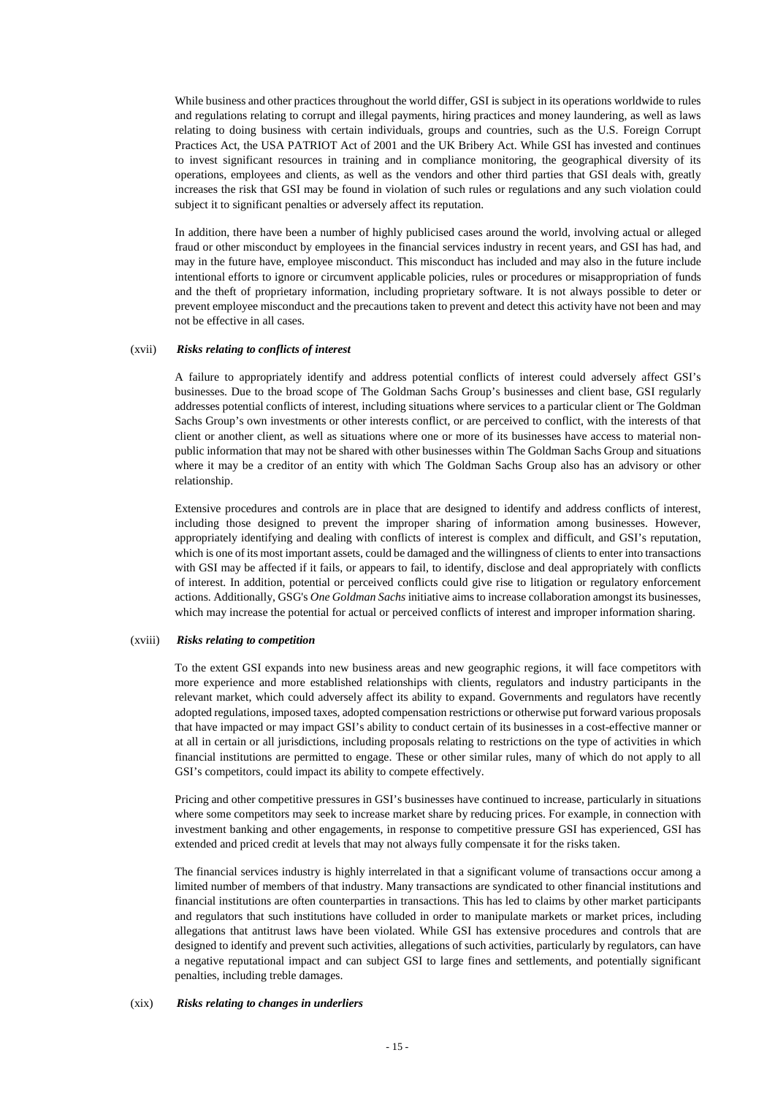While business and other practices throughout the world differ, GSI is subject in its operations worldwide to rules and regulations relating to corrupt and illegal payments, hiring practices and money laundering, as well as laws relating to doing business with certain individuals, groups and countries, such as the U.S. Foreign Corrupt Practices Act, the USA PATRIOT Act of 2001 and the UK Bribery Act. While GSI has invested and continues to invest significant resources in training and in compliance monitoring, the geographical diversity of its operations, employees and clients, as well as the vendors and other third parties that GSI deals with, greatly increases the risk that GSI may be found in violation of such rules or regulations and any such violation could subject it to significant penalties or adversely affect its reputation.

In addition, there have been a number of highly publicised cases around the world, involving actual or alleged fraud or other misconduct by employees in the financial services industry in recent years, and GSI has had, and may in the future have, employee misconduct. This misconduct has included and may also in the future include intentional efforts to ignore or circumvent applicable policies, rules or procedures or misappropriation of funds and the theft of proprietary information, including proprietary software. It is not always possible to deter or prevent employee misconduct and the precautions taken to prevent and detect this activity have not been and may not be effective in all cases.

#### (xvii) *Risks relating to conflicts of interest*

A failure to appropriately identify and address potential conflicts of interest could adversely affect GSI's businesses. Due to the broad scope of The Goldman Sachs Group's businesses and client base, GSI regularly addresses potential conflicts of interest, including situations where services to a particular client or The Goldman Sachs Group's own investments or other interests conflict, or are perceived to conflict, with the interests of that client or another client, as well as situations where one or more of its businesses have access to material nonpublic information that may not be shared with other businesses within The Goldman Sachs Group and situations where it may be a creditor of an entity with which The Goldman Sachs Group also has an advisory or other relationship.

Extensive procedures and controls are in place that are designed to identify and address conflicts of interest, including those designed to prevent the improper sharing of information among businesses. However, appropriately identifying and dealing with conflicts of interest is complex and difficult, and GSI's reputation, which is one of its most important assets, could be damaged and the willingness of clients to enter into transactions with GSI may be affected if it fails, or appears to fail, to identify, disclose and deal appropriately with conflicts of interest. In addition, potential or perceived conflicts could give rise to litigation or regulatory enforcement actions. Additionally, GSG's *One Goldman Sachs* initiative aims to increase collaboration amongst its businesses, which may increase the potential for actual or perceived conflicts of interest and improper information sharing.

#### (xviii) *Risks relating to competition*

To the extent GSI expands into new business areas and new geographic regions, it will face competitors with more experience and more established relationships with clients, regulators and industry participants in the relevant market, which could adversely affect its ability to expand. Governments and regulators have recently adopted regulations, imposed taxes, adopted compensation restrictions or otherwise put forward various proposals that have impacted or may impact GSI's ability to conduct certain of its businesses in a cost-effective manner or at all in certain or all jurisdictions, including proposals relating to restrictions on the type of activities in which financial institutions are permitted to engage. These or other similar rules, many of which do not apply to all GSI's competitors, could impact its ability to compete effectively.

Pricing and other competitive pressures in GSI's businesses have continued to increase, particularly in situations where some competitors may seek to increase market share by reducing prices. For example, in connection with investment banking and other engagements, in response to competitive pressure GSI has experienced, GSI has extended and priced credit at levels that may not always fully compensate it for the risks taken.

The financial services industry is highly interrelated in that a significant volume of transactions occur among a limited number of members of that industry. Many transactions are syndicated to other financial institutions and financial institutions are often counterparties in transactions. This has led to claims by other market participants and regulators that such institutions have colluded in order to manipulate markets or market prices, including allegations that antitrust laws have been violated. While GSI has extensive procedures and controls that are designed to identify and prevent such activities, allegations of such activities, particularly by regulators, can have a negative reputational impact and can subject GSI to large fines and settlements, and potentially significant penalties, including treble damages.

#### (xix) *Risks relating to changes in underliers*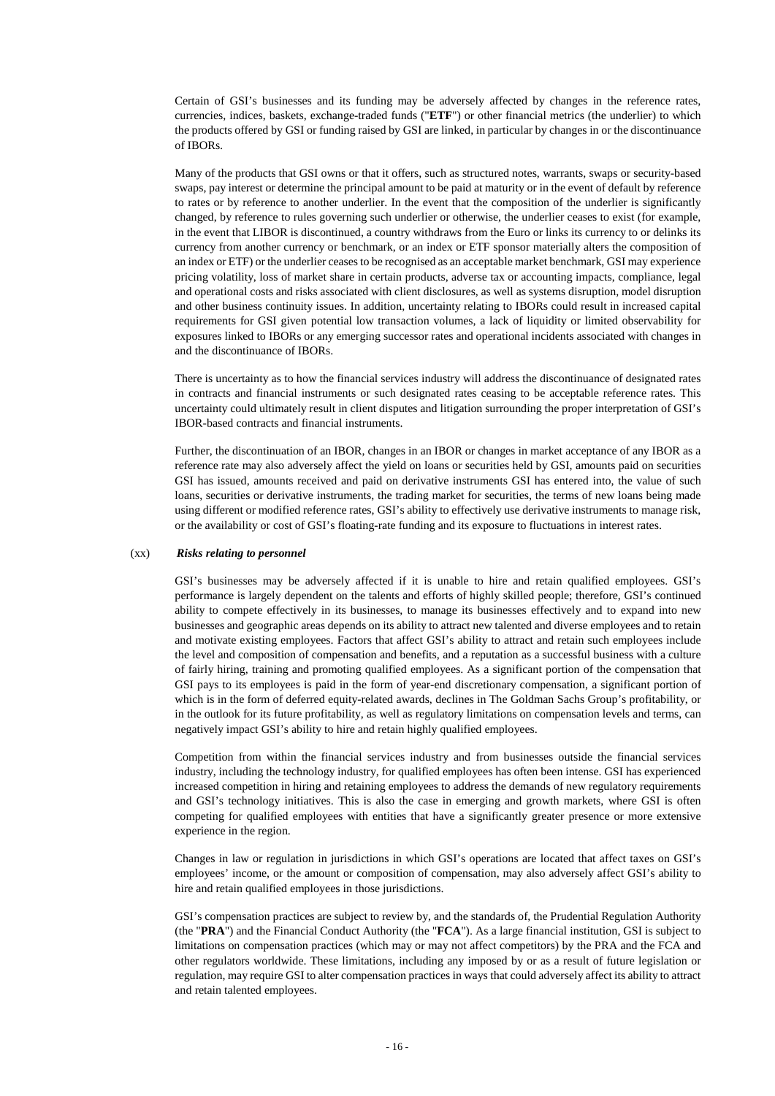Certain of GSI's businesses and its funding may be adversely affected by changes in the reference rates, currencies, indices, baskets, exchange-traded funds ("**ETF**") or other financial metrics (the underlier) to which the products offered by GSI or funding raised by GSI are linked, in particular by changes in or the discontinuance of IBORs.

Many of the products that GSI owns or that it offers, such as structured notes, warrants, swaps or security-based swaps, pay interest or determine the principal amount to be paid at maturity or in the event of default by reference to rates or by reference to another underlier. In the event that the composition of the underlier is significantly changed, by reference to rules governing such underlier or otherwise, the underlier ceases to exist (for example, in the event that LIBOR is discontinued, a country withdraws from the Euro or links its currency to or delinks its currency from another currency or benchmark, or an index or ETF sponsor materially alters the composition of an index or ETF) or the underlier ceases to be recognised as an acceptable market benchmark, GSI may experience pricing volatility, loss of market share in certain products, adverse tax or accounting impacts, compliance, legal and operational costs and risks associated with client disclosures, as well as systems disruption, model disruption and other business continuity issues. In addition, uncertainty relating to IBORs could result in increased capital requirements for GSI given potential low transaction volumes, a lack of liquidity or limited observability for exposures linked to IBORs or any emerging successor rates and operational incidents associated with changes in and the discontinuance of IBORs.

There is uncertainty as to how the financial services industry will address the discontinuance of designated rates in contracts and financial instruments or such designated rates ceasing to be acceptable reference rates. This uncertainty could ultimately result in client disputes and litigation surrounding the proper interpretation of GSI's IBOR-based contracts and financial instruments.

Further, the discontinuation of an IBOR, changes in an IBOR or changes in market acceptance of any IBOR as a reference rate may also adversely affect the yield on loans or securities held by GSI, amounts paid on securities GSI has issued, amounts received and paid on derivative instruments GSI has entered into, the value of such loans, securities or derivative instruments, the trading market for securities, the terms of new loans being made using different or modified reference rates, GSI's ability to effectively use derivative instruments to manage risk, or the availability or cost of GSI's floating-rate funding and its exposure to fluctuations in interest rates.

#### (xx) *Risks relating to personnel*

GSI's businesses may be adversely affected if it is unable to hire and retain qualified employees. GSI's performance is largely dependent on the talents and efforts of highly skilled people; therefore, GSI's continued ability to compete effectively in its businesses, to manage its businesses effectively and to expand into new businesses and geographic areas depends on its ability to attract new talented and diverse employees and to retain and motivate existing employees. Factors that affect GSI's ability to attract and retain such employees include the level and composition of compensation and benefits, and a reputation as a successful business with a culture of fairly hiring, training and promoting qualified employees. As a significant portion of the compensation that GSI pays to its employees is paid in the form of year-end discretionary compensation, a significant portion of which is in the form of deferred equity-related awards, declines in The Goldman Sachs Group's profitability, or in the outlook for its future profitability, as well as regulatory limitations on compensation levels and terms, can negatively impact GSI's ability to hire and retain highly qualified employees.

Competition from within the financial services industry and from businesses outside the financial services industry, including the technology industry, for qualified employees has often been intense. GSI has experienced increased competition in hiring and retaining employees to address the demands of new regulatory requirements and GSI's technology initiatives. This is also the case in emerging and growth markets, where GSI is often competing for qualified employees with entities that have a significantly greater presence or more extensive experience in the region.

Changes in law or regulation in jurisdictions in which GSI's operations are located that affect taxes on GSI's employees' income, or the amount or composition of compensation, may also adversely affect GSI's ability to hire and retain qualified employees in those jurisdictions.

GSI's compensation practices are subject to review by, and the standards of, the Prudential Regulation Authority (the "**PRA**") and the Financial Conduct Authority (the "**FCA**"). As a large financial institution, GSI is subject to limitations on compensation practices (which may or may not affect competitors) by the PRA and the FCA and other regulators worldwide. These limitations, including any imposed by or as a result of future legislation or regulation, may require GSI to alter compensation practices in ways that could adversely affect its ability to attract and retain talented employees.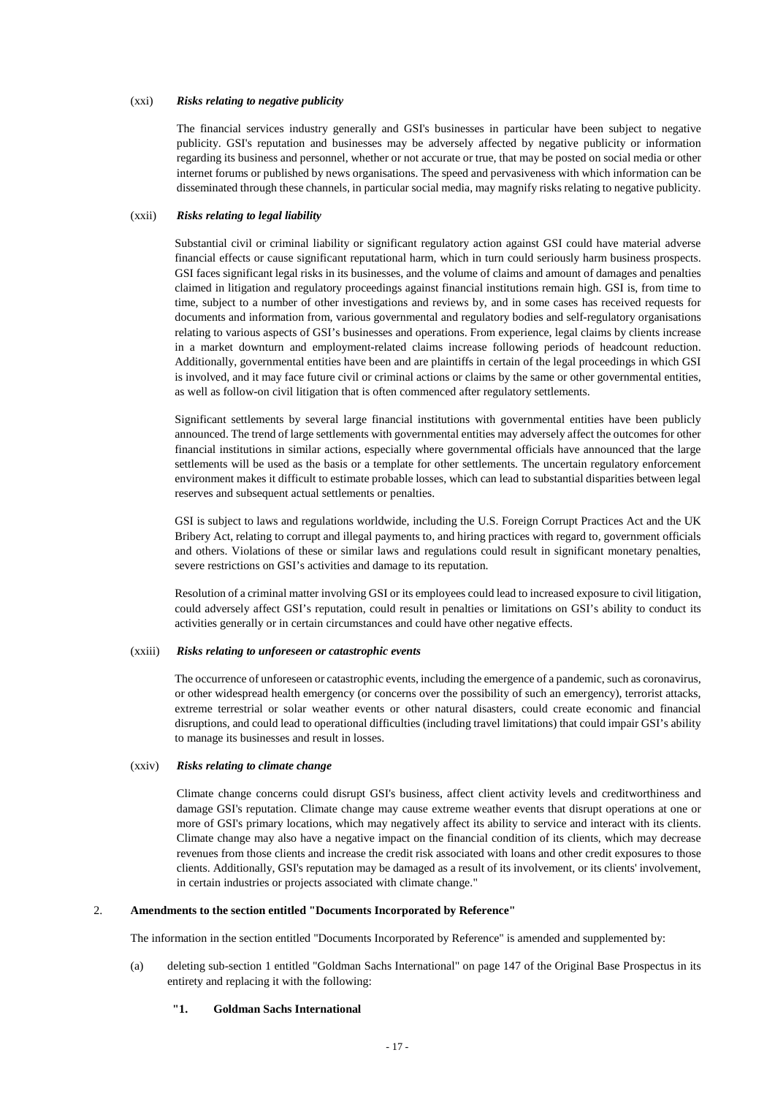### (xxi) *Risks relating to negative publicity*

The financial services industry generally and GSI's businesses in particular have been subject to negative publicity. GSI's reputation and businesses may be adversely affected by negative publicity or information regarding its business and personnel, whether or not accurate or true, that may be posted on social media or other internet forums or published by news organisations. The speed and pervasiveness with which information can be disseminated through these channels, in particular social media, may magnify risks relating to negative publicity.

### (xxii) *Risks relating to legal liability*

Substantial civil or criminal liability or significant regulatory action against GSI could have material adverse financial effects or cause significant reputational harm, which in turn could seriously harm business prospects. GSI faces significant legal risks in its businesses, and the volume of claims and amount of damages and penalties claimed in litigation and regulatory proceedings against financial institutions remain high. GSI is, from time to time, subject to a number of other investigations and reviews by, and in some cases has received requests for documents and information from, various governmental and regulatory bodies and self-regulatory organisations relating to various aspects of GSI's businesses and operations. From experience, legal claims by clients increase in a market downturn and employment-related claims increase following periods of headcount reduction. Additionally, governmental entities have been and are plaintiffs in certain of the legal proceedings in which GSI is involved, and it may face future civil or criminal actions or claims by the same or other governmental entities, as well as follow-on civil litigation that is often commenced after regulatory settlements.

Significant settlements by several large financial institutions with governmental entities have been publicly announced. The trend of large settlements with governmental entities may adversely affect the outcomes for other financial institutions in similar actions, especially where governmental officials have announced that the large settlements will be used as the basis or a template for other settlements. The uncertain regulatory enforcement environment makes it difficult to estimate probable losses, which can lead to substantial disparities between legal reserves and subsequent actual settlements or penalties.

GSI is subject to laws and regulations worldwide, including the U.S. Foreign Corrupt Practices Act and the UK Bribery Act, relating to corrupt and illegal payments to, and hiring practices with regard to, government officials and others. Violations of these or similar laws and regulations could result in significant monetary penalties, severe restrictions on GSI's activities and damage to its reputation.

Resolution of a criminal matter involving GSI or its employees could lead to increased exposure to civil litigation, could adversely affect GSI's reputation, could result in penalties or limitations on GSI's ability to conduct its activities generally or in certain circumstances and could have other negative effects.

## (xxiii) *Risks relating to unforeseen or catastrophic events*

The occurrence of unforeseen or catastrophic events, including the emergence of a pandemic, such as coronavirus, or other widespread health emergency (or concerns over the possibility of such an emergency), terrorist attacks, extreme terrestrial or solar weather events or other natural disasters, could create economic and financial disruptions, and could lead to operational difficulties (including travel limitations) that could impair GSI's ability to manage its businesses and result in losses.

### (xxiv) *Risks relating to climate change*

Climate change concerns could disrupt GSI's business, affect client activity levels and creditworthiness and damage GSI's reputation. Climate change may cause extreme weather events that disrupt operations at one or more of GSI's primary locations, which may negatively affect its ability to service and interact with its clients. Climate change may also have a negative impact on the financial condition of its clients, which may decrease revenues from those clients and increase the credit risk associated with loans and other credit exposures to those clients. Additionally, GSI's reputation may be damaged as a result of its involvement, or its clients' involvement, in certain industries or projects associated with climate change."

### 2. **Amendments to the section entitled "Documents Incorporated by Reference"**

The information in the section entitled "Documents Incorporated by Reference" is amended and supplemented by:

(a) deleting sub-section 1 entitled "Goldman Sachs International" on page 147 of the Original Base Prospectus in its entirety and replacing it with the following:

## **"1. Goldman Sachs International**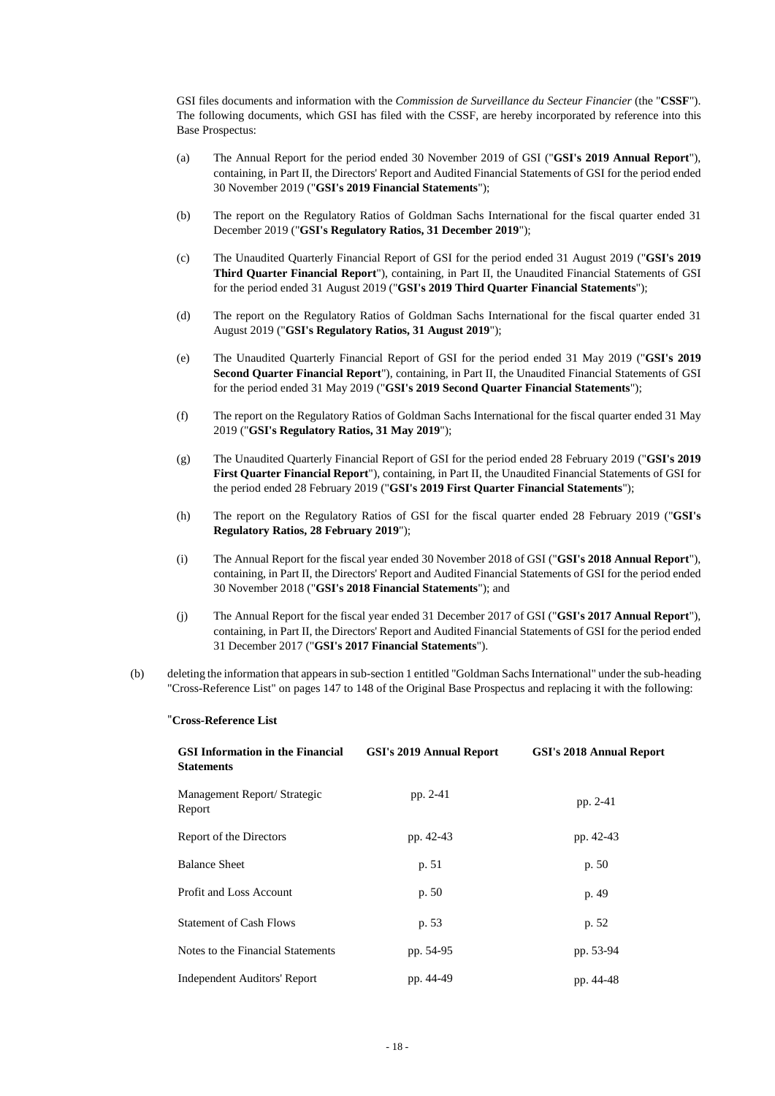GSI files documents and information with the *Commission de Surveillance du Secteur Financier* (the "**CSSF**"). The following documents, which GSI has filed with the CSSF, are hereby incorporated by reference into this Base Prospectus:

- (a) The Annual Report for the period ended 30 November 2019 of GSI ("**GSI's 2019 Annual Report**"), containing, in Part II, the Directors' Report and Audited Financial Statements of GSI for the period ended 30 November 2019 ("**GSI's 2019 Financial Statements**");
- (b) The report on the Regulatory Ratios of Goldman Sachs International for the fiscal quarter ended 31 December 2019 ("**GSI's Regulatory Ratios, 31 December 2019**");
- (c) The Unaudited Quarterly Financial Report of GSI for the period ended 31 August 2019 ("**GSI's 2019 Third Quarter Financial Report**"), containing, in Part II, the Unaudited Financial Statements of GSI for the period ended 31 August 2019 ("**GSI's 2019 Third Quarter Financial Statements**");
- (d) The report on the Regulatory Ratios of Goldman Sachs International for the fiscal quarter ended 31 August 2019 ("**GSI's Regulatory Ratios, 31 August 2019**");
- (e) The Unaudited Quarterly Financial Report of GSI for the period ended 31 May 2019 ("**GSI's 2019 Second Quarter Financial Report**"), containing, in Part II, the Unaudited Financial Statements of GSI for the period ended 31 May 2019 ("**GSI's 2019 Second Quarter Financial Statements**");
- (f) The report on the Regulatory Ratios of Goldman Sachs International for the fiscal quarter ended 31 May 2019 ("**GSI's Regulatory Ratios, 31 May 2019**");
- (g) The Unaudited Quarterly Financial Report of GSI for the period ended 28 February 2019 ("**GSI's 2019 First Quarter Financial Report**"), containing, in Part II, the Unaudited Financial Statements of GSI for the period ended 28 February 2019 ("**GSI's 2019 First Quarter Financial Statements**");
- (h) The report on the Regulatory Ratios of GSI for the fiscal quarter ended 28 February 2019 ("**GSI's Regulatory Ratios, 28 February 2019**");
- (i) The Annual Report for the fiscal year ended 30 November 2018 of GSI ("**GSI's 2018 Annual Report**"), containing, in Part II, the Directors' Report and Audited Financial Statements of GSI for the period ended 30 November 2018 ("**GSI's 2018 Financial Statements**"); and
- (j) The Annual Report for the fiscal year ended 31 December 2017 of GSI ("**GSI's 2017 Annual Report**"), containing, in Part II, the Directors' Report and Audited Financial Statements of GSI for the period ended 31 December 2017 ("**GSI's 2017 Financial Statements**").
- (b) deleting the information that appears in sub-section 1 entitled "Goldman Sachs International" under the sub-heading "Cross-Reference List" on pages 147 to 148 of the Original Base Prospectus and replacing it with the following:

#### "**Cross-Reference List**

| <b>GSI Information in the Financial</b><br><b>Statements</b> | GSI's 2019 Annual Report | <b>GSI's 2018 Annual Report</b> |
|--------------------------------------------------------------|--------------------------|---------------------------------|
| Management Report/ Strategic<br>Report                       | pp. 2-41                 | pp. 2-41                        |
| Report of the Directors                                      | pp. 42-43                | pp. 42-43                       |
| <b>Balance Sheet</b>                                         | p. 51                    | p. 50                           |
| Profit and Loss Account                                      | p. 50                    | p. 49                           |
| <b>Statement of Cash Flows</b>                               | p. 53                    | p. 52                           |
| Notes to the Financial Statements                            | pp. 54-95                | pp. 53-94                       |
| <b>Independent Auditors' Report</b>                          | pp. 44-49                | pp. 44-48                       |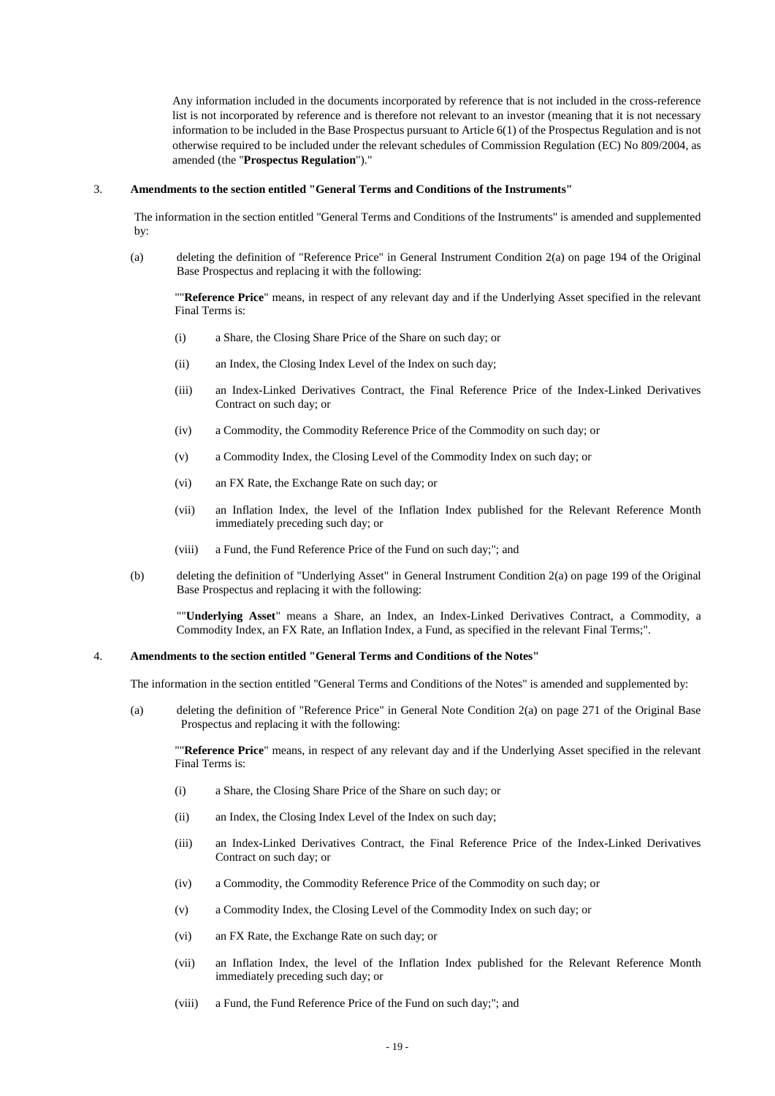Any information included in the documents incorporated by reference that is not included in the cross-reference list is not incorporated by reference and is therefore not relevant to an investor (meaning that it is not necessary information to be included in the Base Prospectus pursuant to Article 6(1) of the Prospectus Regulation and is not otherwise required to be included under the relevant schedules of Commission Regulation (EC) No 809/2004, as amended (the "**Prospectus Regulation**")."

#### 3. **Amendments to the section entitled "General Terms and Conditions of the Instruments"**

The information in the section entitled "General Terms and Conditions of the Instruments" is amended and supplemented by:

(a) deleting the definition of "Reference Price" in General Instrument Condition 2(a) on page 194 of the Original Base Prospectus and replacing it with the following:

""**Reference Price**" means, in respect of any relevant day and if the Underlying Asset specified in the relevant Final Terms is:

- (i) a Share, the Closing Share Price of the Share on such day; or
- (ii) an Index, the Closing Index Level of the Index on such day;
- (iii) an Index-Linked Derivatives Contract, the Final Reference Price of the Index-Linked Derivatives Contract on such day; or
- (iv) a Commodity, the Commodity Reference Price of the Commodity on such day; or
- (v) a Commodity Index, the Closing Level of the Commodity Index on such day; or
- (vi) an FX Rate, the Exchange Rate on such day; or
- (vii) an Inflation Index, the level of the Inflation Index published for the Relevant Reference Month immediately preceding such day; or
- (viii) a Fund, the Fund Reference Price of the Fund on such day;"; and
- (b) deleting the definition of "Underlying Asset" in General Instrument Condition 2(a) on page 199 of the Original Base Prospectus and replacing it with the following:

""**Underlying Asset**" means a Share, an Index, an Index-Linked Derivatives Contract, a Commodity, a Commodity Index, an FX Rate, an Inflation Index, a Fund, as specified in the relevant Final Terms;".

#### 4. **Amendments to the section entitled "General Terms and Conditions of the Notes"**

The information in the section entitled "General Terms and Conditions of the Notes" is amended and supplemented by:

(a) deleting the definition of "Reference Price" in General Note Condition 2(a) on page 271 of the Original Base Prospectus and replacing it with the following:

""**Reference Price**" means, in respect of any relevant day and if the Underlying Asset specified in the relevant Final Terms is:

- (i) a Share, the Closing Share Price of the Share on such day; or
- (ii) an Index, the Closing Index Level of the Index on such day;
- (iii) an Index-Linked Derivatives Contract, the Final Reference Price of the Index-Linked Derivatives Contract on such day; or
- (iv) a Commodity, the Commodity Reference Price of the Commodity on such day; or
- (v) a Commodity Index, the Closing Level of the Commodity Index on such day; or
- (vi) an FX Rate, the Exchange Rate on such day; or
- (vii) an Inflation Index, the level of the Inflation Index published for the Relevant Reference Month immediately preceding such day; or
- (viii) a Fund, the Fund Reference Price of the Fund on such day;"; and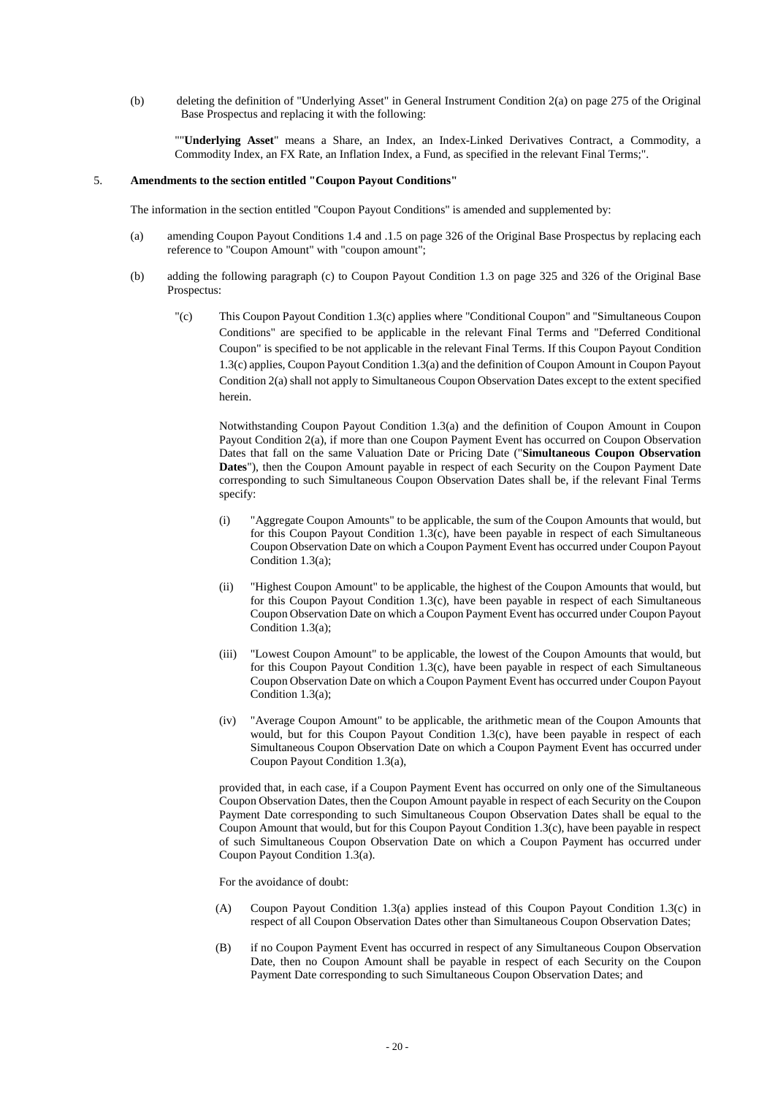(b) deleting the definition of "Underlying Asset" in General Instrument Condition 2(a) on page 275 of the Original Base Prospectus and replacing it with the following:

""**Underlying Asset**" means a Share, an Index, an Index-Linked Derivatives Contract, a Commodity, a Commodity Index, an FX Rate, an Inflation Index, a Fund, as specified in the relevant Final Terms;".

## 5. **Amendments to the section entitled "Coupon Payout Conditions"**

The information in the section entitled "Coupon Payout Conditions" is amended and supplemented by:

- (a) amending Coupon Payout Conditions 1.4 and .1.5 on page 326 of the Original Base Prospectus by replacing each reference to "Coupon Amount" with "coupon amount";
- (b) adding the following paragraph (c) to Coupon Payout Condition 1.3 on page 325 and 326 of the Original Base Prospectus:
	- "(c) This Coupon Payout Condition 1.3(c) applies where "Conditional Coupon" and "Simultaneous Coupon Conditions" are specified to be applicable in the relevant Final Terms and "Deferred Conditional Coupon" is specified to be not applicable in the relevant Final Terms. If this Coupon Payout Condition 1.3(c) applies, Coupon Payout Condition 1.3(a) and the definition of Coupon Amount in Coupon Payout Condition 2(a) shall not apply to Simultaneous Coupon Observation Dates except to the extent specified herein.

Notwithstanding Coupon Payout Condition 1.3(a) and the definition of Coupon Amount in Coupon Payout Condition 2(a), if more than one Coupon Payment Event has occurred on Coupon Observation Dates that fall on the same Valuation Date or Pricing Date ("**Simultaneous Coupon Observation Dates**"), then the Coupon Amount payable in respect of each Security on the Coupon Payment Date corresponding to such Simultaneous Coupon Observation Dates shall be, if the relevant Final Terms specify:

- (i) "Aggregate Coupon Amounts" to be applicable, the sum of the Coupon Amounts that would, but for this Coupon Payout Condition 1.3(c), have been payable in respect of each Simultaneous Coupon Observation Date on which a Coupon Payment Event has occurred under Coupon Payout Condition 1.3(a);
- (ii) "Highest Coupon Amount" to be applicable, the highest of the Coupon Amounts that would, but for this Coupon Payout Condition  $1.3(c)$ , have been payable in respect of each Simultaneous Coupon Observation Date on which a Coupon Payment Event has occurred under Coupon Payout Condition 1.3(a);
- (iii) "Lowest Coupon Amount" to be applicable, the lowest of the Coupon Amounts that would, but for this Coupon Payout Condition  $1.3(c)$ , have been payable in respect of each Simultaneous Coupon Observation Date on which a Coupon Payment Event has occurred under Coupon Payout Condition 1.3(a);
- (iv) "Average Coupon Amount" to be applicable, the arithmetic mean of the Coupon Amounts that would, but for this Coupon Payout Condition 1.3(c), have been payable in respect of each Simultaneous Coupon Observation Date on which a Coupon Payment Event has occurred under Coupon Payout Condition 1.3(a),

provided that, in each case, if a Coupon Payment Event has occurred on only one of the Simultaneous Coupon Observation Dates, then the Coupon Amount payable in respect of each Security on the Coupon Payment Date corresponding to such Simultaneous Coupon Observation Dates shall be equal to the Coupon Amount that would, but for this Coupon Payout Condition 1.3(c), have been payable in respect of such Simultaneous Coupon Observation Date on which a Coupon Payment has occurred under Coupon Payout Condition 1.3(a).

For the avoidance of doubt:

- (A) Coupon Payout Condition 1.3(a) applies instead of this Coupon Payout Condition 1.3(c) in respect of all Coupon Observation Dates other than Simultaneous Coupon Observation Dates;
- (B) if no Coupon Payment Event has occurred in respect of any Simultaneous Coupon Observation Date, then no Coupon Amount shall be payable in respect of each Security on the Coupon Payment Date corresponding to such Simultaneous Coupon Observation Dates; and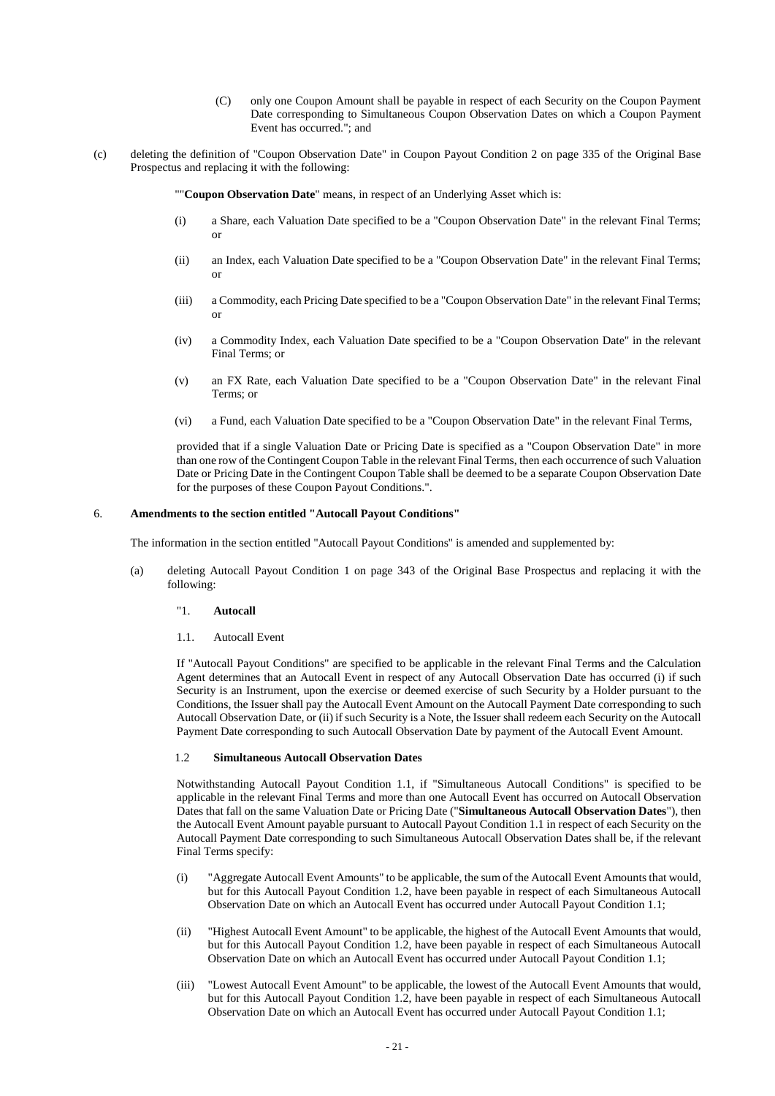- (C) only one Coupon Amount shall be payable in respect of each Security on the Coupon Payment Date corresponding to Simultaneous Coupon Observation Dates on which a Coupon Payment Event has occurred."; and
- (c) deleting the definition of "Coupon Observation Date" in Coupon Payout Condition 2 on page 335 of the Original Base Prospectus and replacing it with the following:

""**Coupon Observation Date**" means, in respect of an Underlying Asset which is:

- (i) a Share, each Valuation Date specified to be a "Coupon Observation Date" in the relevant Final Terms; or
- (ii) an Index, each Valuation Date specified to be a "Coupon Observation Date" in the relevant Final Terms; or
- (iii) a Commodity, each Pricing Date specified to be a "Coupon Observation Date" in the relevant Final Terms; or
- (iv) a Commodity Index, each Valuation Date specified to be a "Coupon Observation Date" in the relevant Final Terms; or
- (v) an FX Rate, each Valuation Date specified to be a "Coupon Observation Date" in the relevant Final Terms; or
- (vi) a Fund, each Valuation Date specified to be a "Coupon Observation Date" in the relevant Final Terms,

provided that if a single Valuation Date or Pricing Date is specified as a "Coupon Observation Date" in more than one row of the Contingent Coupon Table in the relevant Final Terms, then each occurrence of such Valuation Date or Pricing Date in the Contingent Coupon Table shall be deemed to be a separate Coupon Observation Date for the purposes of these Coupon Payout Conditions.".

#### 6. **Amendments to the section entitled "Autocall Payout Conditions"**

The information in the section entitled "Autocall Payout Conditions" is amended and supplemented by:

- (a) deleting Autocall Payout Condition 1 on page 343 of the Original Base Prospectus and replacing it with the following:
	- "1. **Autocall**
	- 1.1. Autocall Event

If "Autocall Payout Conditions" are specified to be applicable in the relevant Final Terms and the Calculation Agent determines that an Autocall Event in respect of any Autocall Observation Date has occurred (i) if such Security is an Instrument, upon the exercise or deemed exercise of such Security by a Holder pursuant to the Conditions, the Issuer shall pay the Autocall Event Amount on the Autocall Payment Date corresponding to such Autocall Observation Date, or (ii) if such Security is a Note, the Issuer shall redeem each Security on the Autocall Payment Date corresponding to such Autocall Observation Date by payment of the Autocall Event Amount.

## 1.2 **Simultaneous Autocall Observation Dates**

Notwithstanding Autocall Payout Condition 1.1, if "Simultaneous Autocall Conditions" is specified to be applicable in the relevant Final Terms and more than one Autocall Event has occurred on Autocall Observation Dates that fall on the same Valuation Date or Pricing Date ("**Simultaneous Autocall Observation Dates**"), then the Autocall Event Amount payable pursuant to Autocall Payout Condition 1.1 in respect of each Security on the Autocall Payment Date corresponding to such Simultaneous Autocall Observation Dates shall be, if the relevant Final Terms specify:

- (i) "Aggregate Autocall Event Amounts" to be applicable, the sum of the Autocall Event Amounts that would, but for this Autocall Payout Condition 1.2, have been payable in respect of each Simultaneous Autocall Observation Date on which an Autocall Event has occurred under Autocall Payout Condition 1.1;
- (ii) "Highest Autocall Event Amount" to be applicable, the highest of the Autocall Event Amounts that would, but for this Autocall Payout Condition 1.2, have been payable in respect of each Simultaneous Autocall Observation Date on which an Autocall Event has occurred under Autocall Payout Condition 1.1;
- (iii) "Lowest Autocall Event Amount" to be applicable, the lowest of the Autocall Event Amounts that would, but for this Autocall Payout Condition 1.2, have been payable in respect of each Simultaneous Autocall Observation Date on which an Autocall Event has occurred under Autocall Payout Condition 1.1;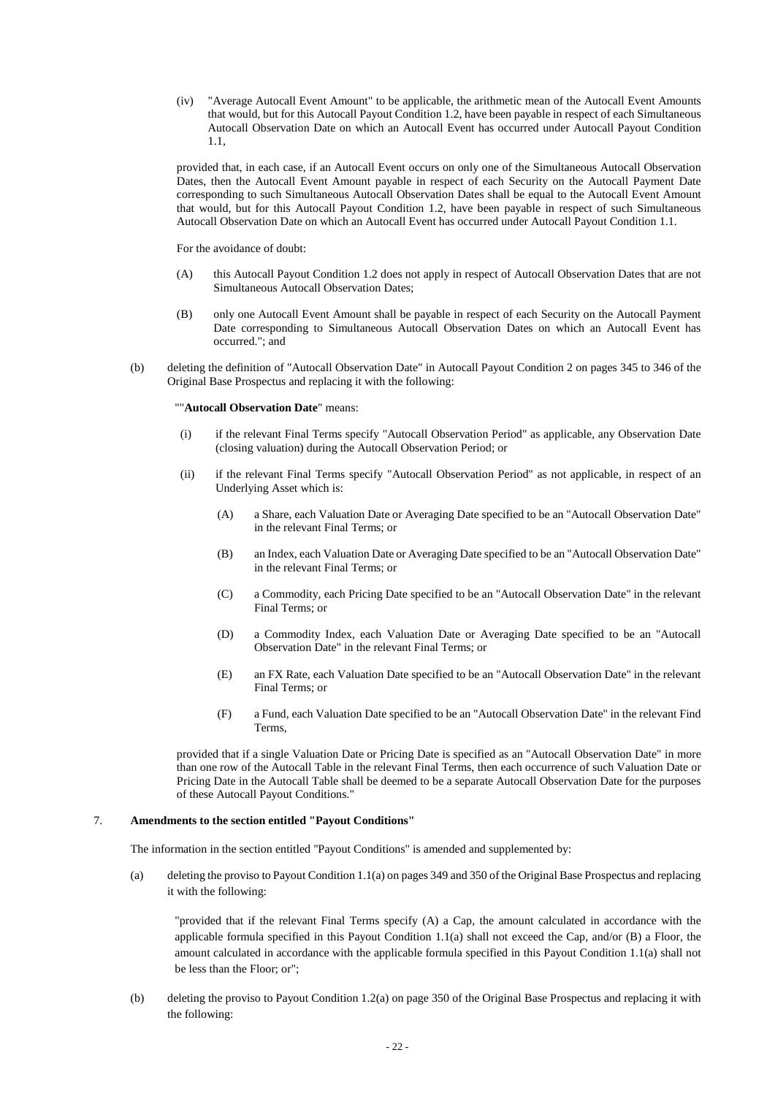(iv) "Average Autocall Event Amount" to be applicable, the arithmetic mean of the Autocall Event Amounts that would, but for this Autocall Payout Condition 1.2, have been payable in respect of each Simultaneous Autocall Observation Date on which an Autocall Event has occurred under Autocall Payout Condition 1.1,

provided that, in each case, if an Autocall Event occurs on only one of the Simultaneous Autocall Observation Dates, then the Autocall Event Amount payable in respect of each Security on the Autocall Payment Date corresponding to such Simultaneous Autocall Observation Dates shall be equal to the Autocall Event Amount that would, but for this Autocall Payout Condition 1.2, have been payable in respect of such Simultaneous Autocall Observation Date on which an Autocall Event has occurred under Autocall Payout Condition 1.1.

For the avoidance of doubt:

- (A) this Autocall Payout Condition 1.2 does not apply in respect of Autocall Observation Dates that are not Simultaneous Autocall Observation Dates;
- (B) only one Autocall Event Amount shall be payable in respect of each Security on the Autocall Payment Date corresponding to Simultaneous Autocall Observation Dates on which an Autocall Event has occurred."; and
- (b) deleting the definition of "Autocall Observation Date" in Autocall Payout Condition 2 on pages 345 to 346 of the Original Base Prospectus and replacing it with the following:

#### ""**Autocall Observation Date**" means:

- (i) if the relevant Final Terms specify "Autocall Observation Period" as applicable, any Observation Date (closing valuation) during the Autocall Observation Period; or
- (ii) if the relevant Final Terms specify "Autocall Observation Period" as not applicable, in respect of an Underlying Asset which is:
	- (A) a Share, each Valuation Date or Averaging Date specified to be an "Autocall Observation Date" in the relevant Final Terms; or
	- (B) an Index, each Valuation Date or Averaging Date specified to be an "Autocall Observation Date" in the relevant Final Terms; or
	- (C) a Commodity, each Pricing Date specified to be an "Autocall Observation Date" in the relevant Final Terms; or
	- (D) a Commodity Index, each Valuation Date or Averaging Date specified to be an "Autocall Observation Date" in the relevant Final Terms; or
	- (E) an FX Rate, each Valuation Date specified to be an "Autocall Observation Date" in the relevant Final Terms; or
	- (F) a Fund, each Valuation Date specified to be an "Autocall Observation Date" in the relevant Find Terms,

provided that if a single Valuation Date or Pricing Date is specified as an "Autocall Observation Date" in more than one row of the Autocall Table in the relevant Final Terms, then each occurrence of such Valuation Date or Pricing Date in the Autocall Table shall be deemed to be a separate Autocall Observation Date for the purposes of these Autocall Payout Conditions."

## 7. **Amendments to the section entitled "Payout Conditions"**

The information in the section entitled "Payout Conditions" is amended and supplemented by:

(a) deleting the proviso to Payout Condition 1.1(a) on pages 349 and 350 of the Original Base Prospectus and replacing it with the following:

"provided that if the relevant Final Terms specify (A) a Cap, the amount calculated in accordance with the applicable formula specified in this Payout Condition 1.1(a) shall not exceed the Cap, and/or (B) a Floor, the amount calculated in accordance with the applicable formula specified in this Payout Condition 1.1(a) shall not be less than the Floor; or";

(b) deleting the proviso to Payout Condition 1.2(a) on page 350 of the Original Base Prospectus and replacing it with the following: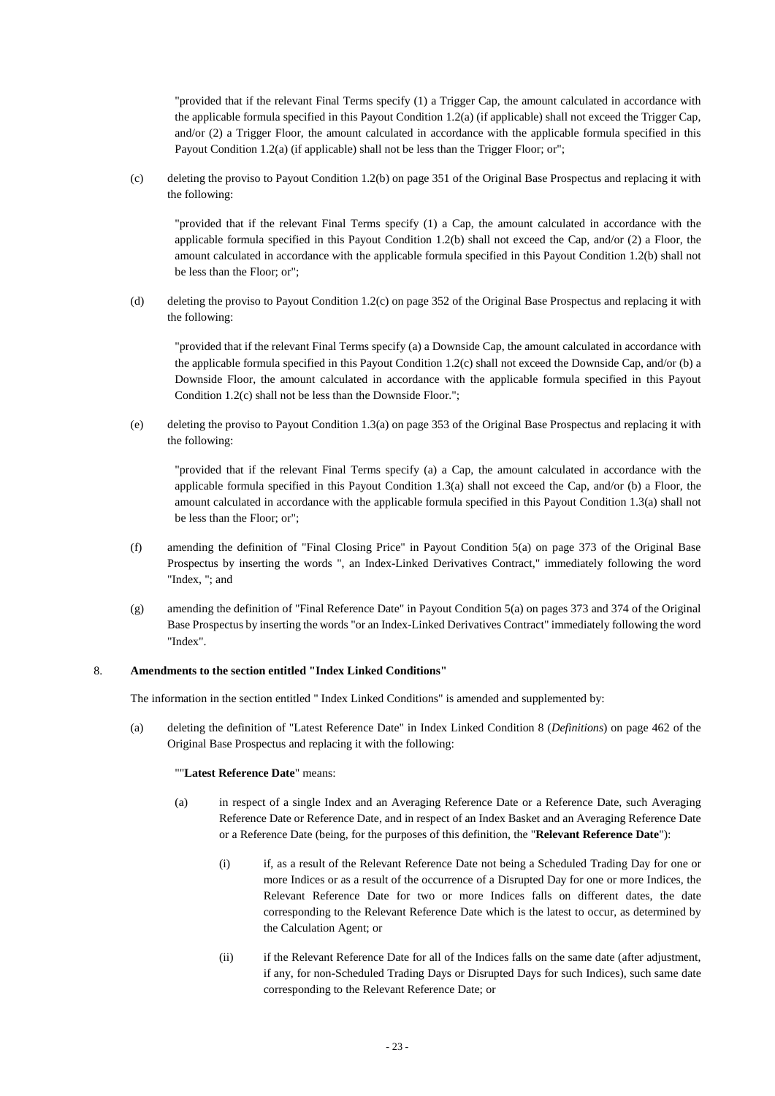"provided that if the relevant Final Terms specify (1) a Trigger Cap, the amount calculated in accordance with the applicable formula specified in this Payout Condition 1.2(a) (if applicable) shall not exceed the Trigger Cap, and/or (2) a Trigger Floor, the amount calculated in accordance with the applicable formula specified in this Payout Condition 1.2(a) (if applicable) shall not be less than the Trigger Floor; or";

(c) deleting the proviso to Payout Condition 1.2(b) on page 351 of the Original Base Prospectus and replacing it with the following:

"provided that if the relevant Final Terms specify (1) a Cap, the amount calculated in accordance with the applicable formula specified in this Payout Condition 1.2(b) shall not exceed the Cap, and/or (2) a Floor, the amount calculated in accordance with the applicable formula specified in this Payout Condition 1.2(b) shall not be less than the Floor; or";

(d) deleting the proviso to Payout Condition 1.2(c) on page 352 of the Original Base Prospectus and replacing it with the following:

"provided that if the relevant Final Terms specify (a) a Downside Cap, the amount calculated in accordance with the applicable formula specified in this Payout Condition 1.2(c) shall not exceed the Downside Cap, and/or (b) a Downside Floor, the amount calculated in accordance with the applicable formula specified in this Payout Condition 1.2(c) shall not be less than the Downside Floor.";

(e) deleting the proviso to Payout Condition 1.3(a) on page 353 of the Original Base Prospectus and replacing it with the following:

"provided that if the relevant Final Terms specify (a) a Cap, the amount calculated in accordance with the applicable formula specified in this Payout Condition 1.3(a) shall not exceed the Cap, and/or (b) a Floor, the amount calculated in accordance with the applicable formula specified in this Payout Condition 1.3(a) shall not be less than the Floor; or";

- (f) amending the definition of "Final Closing Price" in Payout Condition 5(a) on page 373 of the Original Base Prospectus by inserting the words ", an Index-Linked Derivatives Contract," immediately following the word "Index, "; and
- (g) amending the definition of "Final Reference Date" in Payout Condition 5(a) on pages 373 and 374 of the Original Base Prospectus by inserting the words "or an Index-Linked Derivatives Contract" immediately following the word "Index".

# 8. **Amendments to the section entitled "Index Linked Conditions"**

The information in the section entitled " Index Linked Conditions" is amended and supplemented by:

(a) deleting the definition of "Latest Reference Date" in Index Linked Condition 8 (*Definitions*) on page 462 of the Original Base Prospectus and replacing it with the following:

## ""**Latest Reference Date**" means:

- (a) in respect of a single Index and an Averaging Reference Date or a Reference Date, such Averaging Reference Date or Reference Date, and in respect of an Index Basket and an Averaging Reference Date or a Reference Date (being, for the purposes of this definition, the "**Relevant Reference Date**"):
	- (i) if, as a result of the Relevant Reference Date not being a Scheduled Trading Day for one or more Indices or as a result of the occurrence of a Disrupted Day for one or more Indices, the Relevant Reference Date for two or more Indices falls on different dates, the date corresponding to the Relevant Reference Date which is the latest to occur, as determined by the Calculation Agent; or
	- (ii) if the Relevant Reference Date for all of the Indices falls on the same date (after adjustment, if any, for non-Scheduled Trading Days or Disrupted Days for such Indices), such same date corresponding to the Relevant Reference Date; or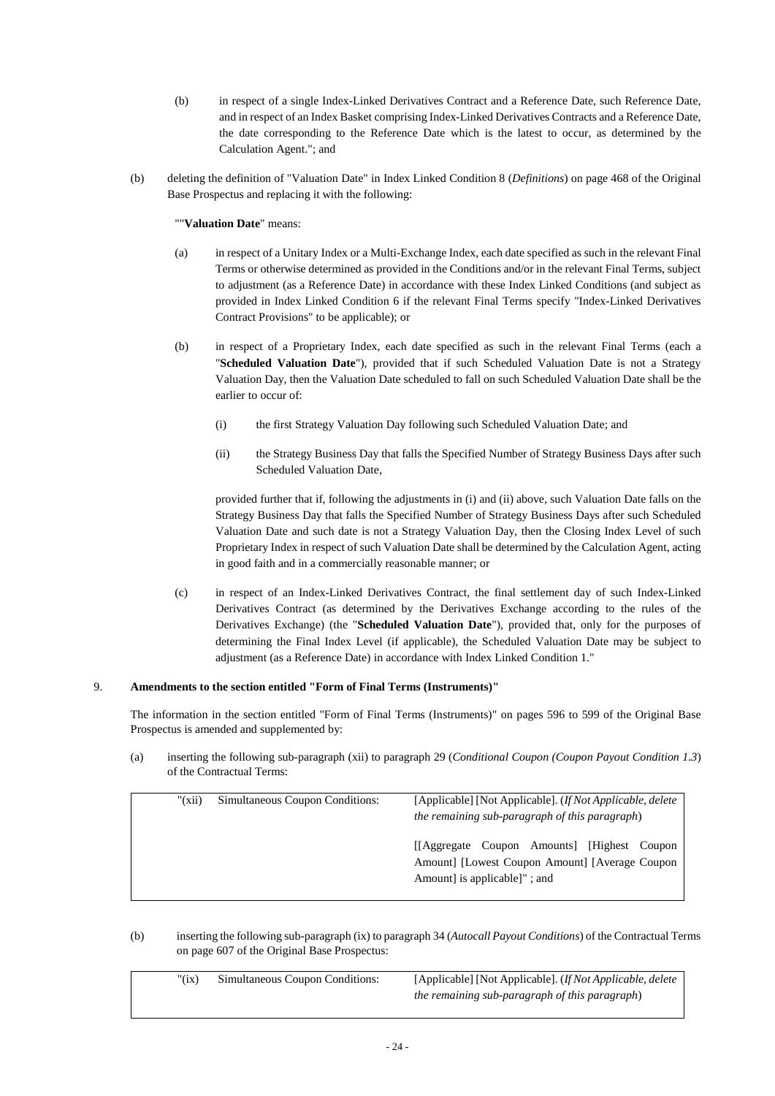- (b) in respect of a single Index-Linked Derivatives Contract and a Reference Date, such Reference Date, and in respect of an Index Basket comprising Index-Linked Derivatives Contracts and a Reference Date, the date corresponding to the Reference Date which is the latest to occur, as determined by the Calculation Agent."; and
- (b) deleting the definition of "Valuation Date" in Index Linked Condition 8 (*Definitions*) on page 468 of the Original Base Prospectus and replacing it with the following:

# ""**Valuation Date**" means:

- (a) in respect of a Unitary Index or a Multi-Exchange Index, each date specified as such in the relevant Final Terms or otherwise determined as provided in the Conditions and/or in the relevant Final Terms, subject to adjustment (as a Reference Date) in accordance with these Index Linked Conditions (and subject as provided in Index Linked Condition 6 if the relevant Final Terms specify "Index-Linked Derivatives Contract Provisions" to be applicable); or
- (b) in respect of a Proprietary Index, each date specified as such in the relevant Final Terms (each a "**Scheduled Valuation Date**"), provided that if such Scheduled Valuation Date is not a Strategy Valuation Day, then the Valuation Date scheduled to fall on such Scheduled Valuation Date shall be the earlier to occur of:
	- (i) the first Strategy Valuation Day following such Scheduled Valuation Date; and
	- (ii) the Strategy Business Day that falls the Specified Number of Strategy Business Days after such Scheduled Valuation Date,

provided further that if, following the adjustments in (i) and (ii) above, such Valuation Date falls on the Strategy Business Day that falls the Specified Number of Strategy Business Days after such Scheduled Valuation Date and such date is not a Strategy Valuation Day, then the Closing Index Level of such Proprietary Index in respect of such Valuation Date shall be determined by the Calculation Agent, acting in good faith and in a commercially reasonable manner; or

(c) in respect of an Index-Linked Derivatives Contract, the final settlement day of such Index-Linked Derivatives Contract (as determined by the Derivatives Exchange according to the rules of the Derivatives Exchange) (the "**Scheduled Valuation Date**"), provided that, only for the purposes of determining the Final Index Level (if applicable), the Scheduled Valuation Date may be subject to adjustment (as a Reference Date) in accordance with Index Linked Condition 1."

## 9. **Amendments to the section entitled "Form of Final Terms (Instruments)"**

The information in the section entitled "Form of Final Terms (Instruments)" on pages 596 to 599 of the Original Base Prospectus is amended and supplemented by:

(a) inserting the following sub-paragraph (xii) to paragraph 29 (*Conditional Coupon (Coupon Payout Condition 1.3*) of the Contractual Terms:

| $"(\vec{x}$ ii) | Simultaneous Coupon Conditions: | [Applicable] [Not Applicable]. ( <i>If Not Applicable, delete</i><br>the remaining sub-paragraph of this paragraph)           |  |  |  |
|-----------------|---------------------------------|-------------------------------------------------------------------------------------------------------------------------------|--|--|--|
|                 |                                 | [Aggregate Coupon Amounts] [Highest Coupon<br>Amount] [Lowest Coupon Amount] [Average Coupon<br>Amount is applicable   "; and |  |  |  |

(b) inserting the following sub-paragraph (ix) to paragraph 34 (*Autocall Payout Conditions*) of the Contractual Terms on page 607 of the Original Base Prospectus:

| " $(ix)$ | Simultaneous Coupon Conditions: | [Applicable] [Not Applicable]. (If Not Applicable, delete |
|----------|---------------------------------|-----------------------------------------------------------|
|          |                                 | the remaining sub-paragraph of this paragraph)            |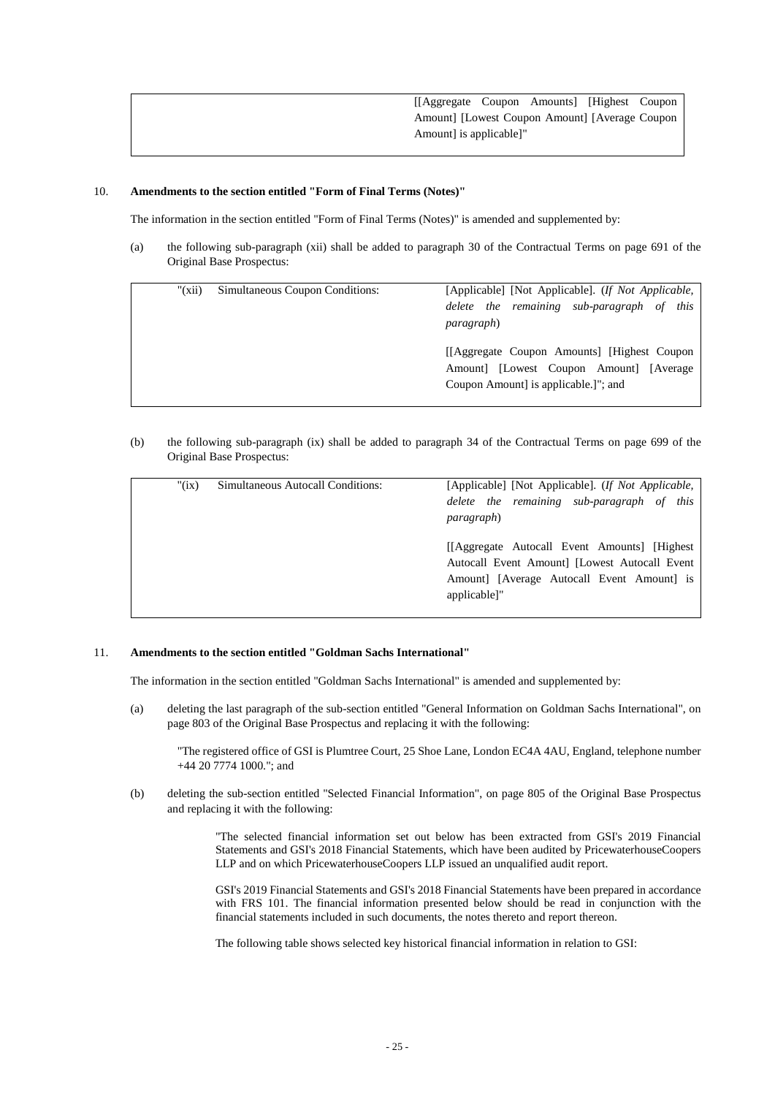# 10. **Amendments to the section entitled "Form of Final Terms (Notes)"**

The information in the section entitled "Form of Final Terms (Notes)" is amended and supplemented by:

(a) the following sub-paragraph (xii) shall be added to paragraph 30 of the Contractual Terms on page 691 of the Original Base Prospectus:

| $"(\overline{x}$ ii) | Simultaneous Coupon Conditions: | [Applicable] [Not Applicable]. <i>(If Not Applicable,</i> |  |
|----------------------|---------------------------------|-----------------------------------------------------------|--|
|                      |                                 | delete the remaining sub-paragraph of this                |  |
|                      |                                 | <i>paragraph</i> )                                        |  |
|                      |                                 |                                                           |  |
|                      |                                 | [[Aggregate Coupon Amounts] [Highest Coupon               |  |
|                      |                                 | Amount [Lowest Coupon Amount] [Average                    |  |
|                      |                                 | Coupon Amount is applicable. <sup>1</sup> "; and          |  |
|                      |                                 |                                                           |  |

(b) the following sub-paragraph (ix) shall be added to paragraph 34 of the Contractual Terms on page 699 of the Original Base Prospectus:

| " $(ix)$ | Simultaneous Autocall Conditions: | [Applicable] [Not Applicable]. <i>(If Not Applicable,</i><br>delete the remaining sub-paragraph of this                                                                            |  |  |
|----------|-----------------------------------|------------------------------------------------------------------------------------------------------------------------------------------------------------------------------------|--|--|
|          |                                   | <i>paragraph</i> )<br>[[Aggregate Autocall Event Amounts] [Highest]<br>Autocall Event Amount] [Lowest Autocall Event<br>Amount] [Average Autocall Event Amount] is<br>applicable]" |  |  |

## 11. **Amendments to the section entitled "Goldman Sachs International"**

The information in the section entitled "Goldman Sachs International" is amended and supplemented by:

(a) deleting the last paragraph of the sub-section entitled "General Information on Goldman Sachs International", on page 803 of the Original Base Prospectus and replacing it with the following:

"The registered office of GSI is Plumtree Court, 25 Shoe Lane, London EC4A 4AU, England, telephone number +44 20 7774 1000."; and

(b) deleting the sub-section entitled "Selected Financial Information", on page 805 of the Original Base Prospectus and replacing it with the following:

> "The selected financial information set out below has been extracted from GSI's 2019 Financial Statements and GSI's 2018 Financial Statements, which have been audited by PricewaterhouseCoopers LLP and on which PricewaterhouseCoopers LLP issued an unqualified audit report.

> GSI's 2019 Financial Statements and GSI's 2018 Financial Statements have been prepared in accordance with FRS 101. The financial information presented below should be read in conjunction with the financial statements included in such documents, the notes thereto and report thereon.

The following table shows selected key historical financial information in relation to GSI: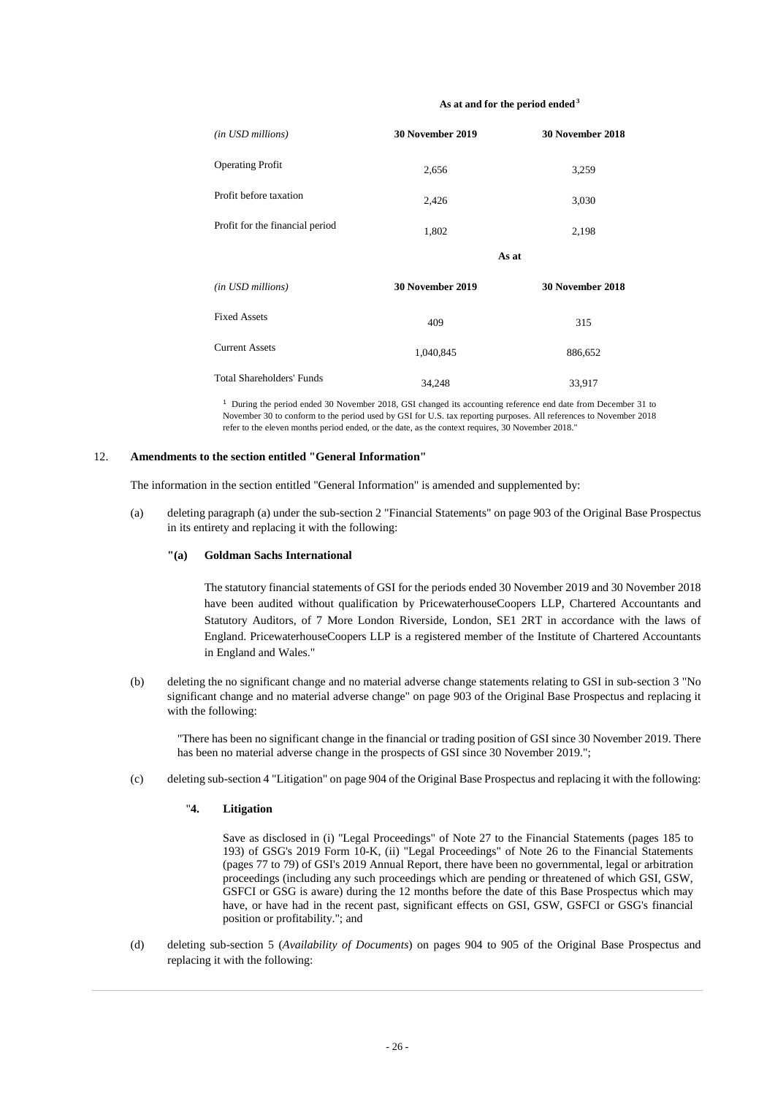#### **As at and for the period ended<sup>3</sup>**

| (in USD millions)                | <b>30 November 2019</b> | 30 November 2018 |
|----------------------------------|-------------------------|------------------|
| <b>Operating Profit</b>          | 2,656                   | 3,259            |
| Profit before taxation           | 2,426                   | 3,030            |
| Profit for the financial period  | 1,802                   | 2,198            |
|                                  | As at                   |                  |
| (in USD millions)                | 30 November 2019        | 30 November 2018 |
| <b>Fixed Assets</b>              | 409                     | 315              |
| <b>Current Assets</b>            | 1,040,845               | 886,652          |
| <b>Total Shareholders' Funds</b> | 34,248                  | 33,917           |

<sup>1</sup> During the period ended 30 November 2018, GSI changed its accounting reference end date from December 31 to November 30 to conform to the period used by GSI for U.S. tax reporting purposes. All references to November 2018 refer to the eleven months period ended, or the date, as the context requires, 30 November 2018."

### 12. **Amendments to the section entitled "General Information"**

The information in the section entitled "General Information" is amended and supplemented by:

(a) deleting paragraph (a) under the sub-section 2 "Financial Statements" on page 903 of the Original Base Prospectus in its entirety and replacing it with the following:

#### **"(a) Goldman Sachs International**

The statutory financial statements of GSI for the periods ended 30 November 2019 and 30 November 2018 have been audited without qualification by PricewaterhouseCoopers LLP, Chartered Accountants and Statutory Auditors, of 7 More London Riverside, London, SE1 2RT in accordance with the laws of England. PricewaterhouseCoopers LLP is a registered member of the Institute of Chartered Accountants in England and Wales."

(b) deleting the no significant change and no material adverse change statements relating to GSI in sub-section 3 "No significant change and no material adverse change" on page 903 of the Original Base Prospectus and replacing it with the following:

"There has been no significant change in the financial or trading position of GSI since 30 November 2019. There has been no material adverse change in the prospects of GSI since 30 November 2019.";

(c) deleting sub-section 4 "Litigation" on page 904 of the Original Base Prospectus and replacing it with the following:

# "**4. Litigation**

Save as disclosed in (i) "Legal Proceedings" of Note 27 to the Financial Statements (pages 185 to 193) of GSG's 2019 Form 10-K, (ii) "Legal Proceedings" of Note 26 to the Financial Statements (pages 77 to 79) of GSI's 2019 Annual Report, there have been no governmental, legal or arbitration proceedings (including any such proceedings which are pending or threatened of which GSI, GSW, GSFCI or GSG is aware) during the 12 months before the date of this Base Prospectus which may have, or have had in the recent past, significant effects on GSI, GSW, GSFCI or GSG's financial position or profitability."; and

(d) deleting sub-section 5 (*Availability of Documents*) on pages 904 to 905 of the Original Base Prospectus and replacing it with the following: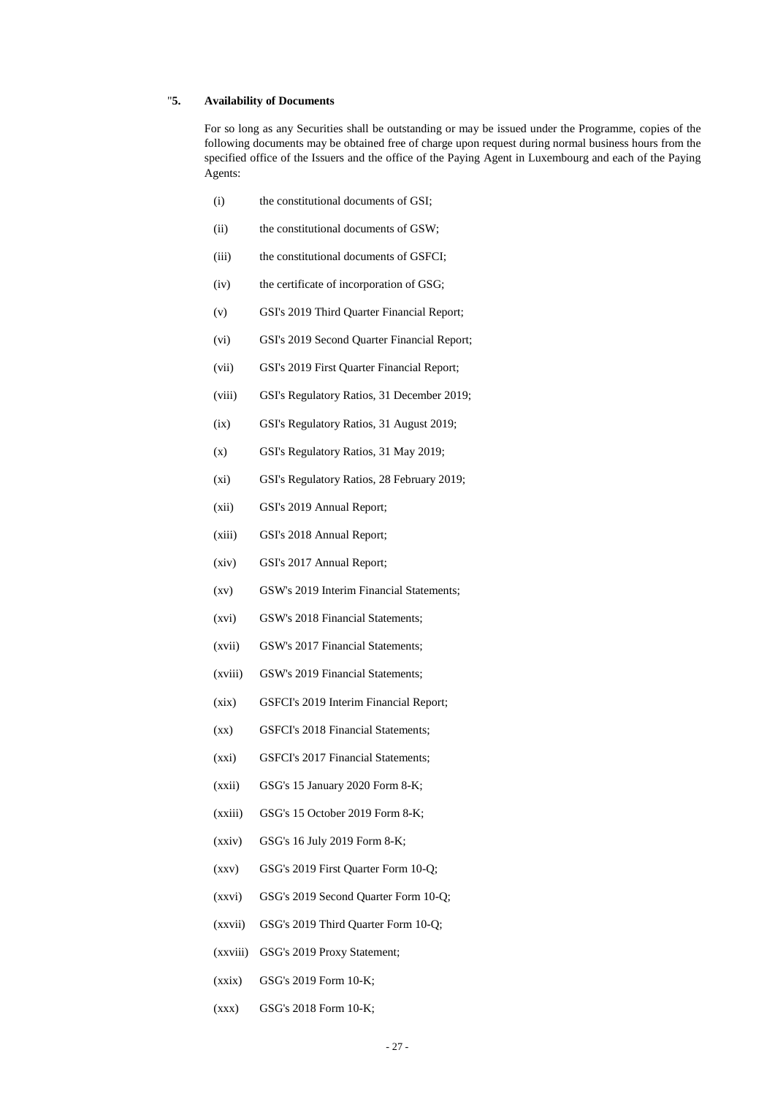# "**5. Availability of Documents**

For so long as any Securities shall be outstanding or may be issued under the Programme, copies of the following documents may be obtained free of charge upon request during normal business hours from the specified office of the Issuers and the office of the Paying Agent in Luxembourg and each of the Paying Agents:

- (i) the constitutional documents of GSI;
- (ii) the constitutional documents of GSW;
- (iii) the constitutional documents of GSFCI;
- (iv) the certificate of incorporation of GSG;
- (v) GSI's 2019 Third Quarter Financial Report;
- (vi) GSI's 2019 Second Quarter Financial Report;
- (vii) GSI's 2019 First Quarter Financial Report;
- (viii) GSI's Regulatory Ratios, 31 December 2019;
- (ix) GSI's Regulatory Ratios, 31 August 2019;
- (x) GSI's Regulatory Ratios, 31 May 2019;
- (xi) GSI's Regulatory Ratios, 28 February 2019;
- (xii) GSI's 2019 Annual Report;
- (xiii) GSI's 2018 Annual Report;
- (xiv) GSI's 2017 Annual Report;
- (xv) GSW's 2019 Interim Financial Statements;
- (xvi) GSW's 2018 Financial Statements;
- (xvii) GSW's 2017 Financial Statements;
- (xviii) GSW's 2019 Financial Statements;
- (xix) GSFCI's 2019 Interim Financial Report;
- (xx) GSFCI's 2018 Financial Statements;
- (xxi) GSFCI's 2017 Financial Statements;
- (xxii) GSG's 15 January 2020 Form 8-K;
- (xxiii) GSG's 15 October 2019 Form 8-K;
- (xxiv) GSG's 16 July 2019 Form 8-K;
- (xxv) GSG's 2019 First Quarter Form 10-Q;
- (xxvi) GSG's 2019 Second Quarter Form 10-Q;
- (xxvii) GSG's 2019 Third Quarter Form 10-Q;
- (xxviii) GSG's 2019 Proxy Statement;
- (xxix) GSG's 2019 Form 10-K;
- (xxx) GSG's 2018 Form 10-K;